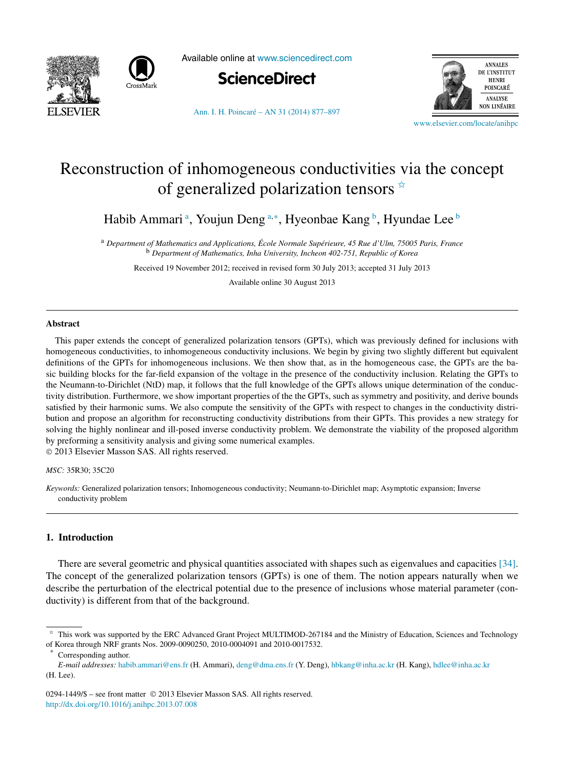



Available online at [www.sciencedirect.com](http://www.sciencedirect.com)



**ANNALES** DE L'INSTITUT **HENRI** POINCARÉ **ANALYSE NON LINÉAIRE** 

[Ann. I. H. Poincaré – AN 31 \(2014\) 877–897](http://dx.doi.org/10.1016/j.anihpc.2013.07.008)

[www.elsevier.com/locate/anihpc](http://www.elsevier.com/locate/anihpc)

# Reconstruction of inhomogeneous conductivities via the concept of generalized polarization tensors  $\dot{\alpha}$

Habib Ammari ª, Youjun Deng ª<sub>\*</sub>\*, Hyeonbae Kang <sup>b</sup>, Hyundae Lee <sup>b</sup>

<sup>a</sup> *Department of Mathematics and Applications, École Normale Supérieure, 45 Rue d'Ulm, 75005 Paris, France* <sup>b</sup> *Department of Mathematics, Inha University, Incheon 402-751, Republic of Korea*

Received 19 November 2012; received in revised form 30 July 2013; accepted 31 July 2013

Available online 30 August 2013

#### **Abstract**

This paper extends the concept of generalized polarization tensors (GPTs), which was previously defined for inclusions with homogeneous conductivities, to inhomogeneous conductivity inclusions. We begin by giving two slightly different but equivalent definitions of the GPTs for inhomogeneous inclusions. We then show that, as in the homogeneous case, the GPTs are the basic building blocks for the far-field expansion of the voltage in the presence of the conductivity inclusion. Relating the GPTs to the Neumann-to-Dirichlet (NtD) map, it follows that the full knowledge of the GPTs allows unique determination of the conductivity distribution. Furthermore, we show important properties of the the GPTs, such as symmetry and positivity, and derive bounds satisfied by their harmonic sums. We also compute the sensitivity of the GPTs with respect to changes in the conductivity distribution and propose an algorithm for reconstructing conductivity distributions from their GPTs. This provides a new strategy for solving the highly nonlinear and ill-posed inverse conductivity problem. We demonstrate the viability of the proposed algorithm by preforming a sensitivity analysis and giving some numerical examples.

© 2013 Elsevier Masson SAS. All rights reserved.

#### *MSC:* 35R30; 35C20

*Keywords:* Generalized polarization tensors; Inhomogeneous conductivity; Neumann-to-Dirichlet map; Asymptotic expansion; Inverse conductivity problem

## **1. Introduction**

There are several geometric and physical quantities associated with shapes such as eigenvalues and capacities [\[34\].](#page-20-0) The concept of the generalized polarization tensors (GPTs) is one of them. The notion appears naturally when we describe the perturbation of the electrical potential due to the presence of inclusions whose material parameter (conductivity) is different from that of the background.

Corresponding author.

<sup>✩</sup> This work was supported by the ERC Advanced Grant Project MULTIMOD-267184 and the Ministry of Education, Sciences and Technology of Korea through NRF grants Nos. 2009-0090250, 2010-0004091 and 2010-0017532.

*E-mail addresses:* [habib.ammari@ens.fr](mailto:habib.ammari@ens.fr) (H. Ammari), [deng@dma.ens.fr](mailto:deng@dma.ens.fr) (Y. Deng), [hbkang@inha.ac.kr](mailto:hbkang@inha.ac.kr) (H. Kang), [hdlee@inha.ac.kr](mailto:hdlee@inha.ac.kr) (H. Lee).

<sup>0294-1449/\$ –</sup> see front matter © 2013 Elsevier Masson SAS. All rights reserved. <http://dx.doi.org/10.1016/j.anihpc.2013.07.008>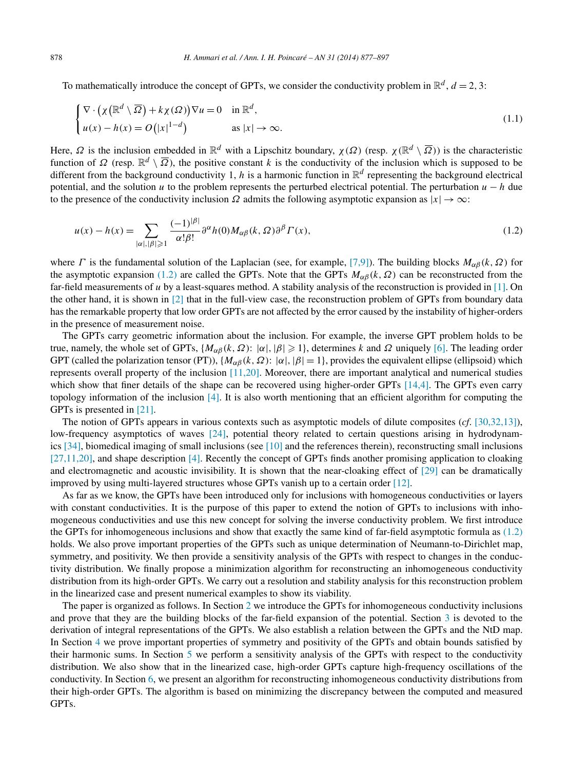To mathematically introduce the concept of GPTs, we consider the conductivity problem in  $\mathbb{R}^d$ ,  $d = 2, 3$ :

$$
\begin{cases} \nabla \cdot (\chi(\mathbb{R}^d \setminus \overline{\Omega}) + k\chi(\Omega)) \nabla u = 0 & \text{in } \mathbb{R}^d, \\ u(x) - h(x) = O(|x|^{1-d}) & \text{as } |x| \to \infty. \end{cases}
$$
\n(1.1)

Here, *Ω* is the inclusion embedded in  $\mathbb{R}^d$  with a Lipschitz boundary, *χ*(*Ω*) (resp. *χ*( $\mathbb{R}^d \setminus \overline{Q}$ )) is the characteristic function of  $\Omega$  (resp.  $\mathbb{R}^d \setminus \overline{\Omega}$ ), the positive constant *k* is the conductivity of the inclusion which is supposed to be different from the background conductivity 1, *h* is a harmonic function in  $\mathbb{R}^d$  representing the background electrical potential, and the solution *u* to the problem represents the perturbed electrical potential. The perturbation  $u - h$  due to the presence of the conductivity inclusion  $\Omega$  admits the following asymptotic expansion as  $|x| \to \infty$ :

$$
u(x) - h(x) = \sum_{|\alpha|, |\beta| \ge 1} \frac{(-1)^{|\beta|}}{\alpha! \beta!} \partial^{\alpha} h(0) M_{\alpha\beta}(k, \Omega) \partial^{\beta} \Gamma(x), \qquad (1.2)
$$

where *Γ* is the fundamental solution of the Laplacian (see, for example, [\[7,9\]\)](#page-19-0). The building blocks  $M_{\alpha\beta}(k, \Omega)$  for the asymptotic expansion (1.2) are called the GPTs. Note that the GPTs  $M_{\alpha\beta}(k, \Omega)$  can be reconstructed from the far-field measurements of *u* by a least-squares method. A stability analysis of the reconstruction is provided in [\[1\].](#page-19-0) On the other hand, it is shown in  $\lceil 2 \rceil$  that in the full-view case, the reconstruction problem of GPTs from boundary data has the remarkable property that low order GPTs are not affected by the error caused by the instability of higher-orders in the presence of measurement noise.

The GPTs carry geometric information about the inclusion. For example, the inverse GPT problem holds to be true, namely, the whole set of GPTs,  $\{M_{\alpha\beta}(k, \Omega): |\alpha|, |\beta| \geq 1\}$ , determines *k* and  $\Omega$  uniquely [\[6\].](#page-19-0) The leading order GPT (called the polarization tensor (PT)),  $\{M_{\alpha\beta}(k, \Omega): |\alpha|, |\beta| = 1\}$ , provides the equivalent ellipse (ellipsoid) which represents overall property of the inclusion [\[11,20\].](#page-19-0) Moreover, there are important analytical and numerical studies which show that finer details of the shape can be recovered using higher-order GPTs [\[14,4\].](#page-19-0) The GPTs even carry topology information of the inclusion [\[4\].](#page-19-0) It is also worth mentioning that an efficient algorithm for computing the GPTs is presented in [\[21\].](#page-19-0)

The notion of GPTs appears in various contexts such as asymptotic models of dilute composites (*cf*. [\[30,32,13\]\)](#page-20-0), low-frequency asymptotics of waves [\[24\],](#page-19-0) potential theory related to certain questions arising in hydrodynamics  $[34]$ , biomedical imaging of small inclusions (see  $[10]$  and the references therein), reconstructing small inclusions [\[27,11,20\],](#page-19-0) and shape description [\[4\].](#page-19-0) Recently the concept of GPTs finds another promising application to cloaking and electromagnetic and acoustic invisibility. It is shown that the near-cloaking effect of [\[29\]](#page-20-0) can be dramatically improved by using multi-layered structures whose GPTs vanish up to a certain order [\[12\].](#page-19-0)

As far as we know, the GPTs have been introduced only for inclusions with homogeneous conductivities or layers with constant conductivities. It is the purpose of this paper to extend the notion of GPTs to inclusions with inhomogeneous conductivities and use this new concept for solving the inverse conductivity problem. We first introduce the GPTs for inhomogeneous inclusions and show that exactly the same kind of far-field asymptotic formula as (1.2) holds. We also prove important properties of the GPTs such as unique determination of Neumann-to-Dirichlet map, symmetry, and positivity. We then provide a sensitivity analysis of the GPTs with respect to changes in the conductivity distribution. We finally propose a minimization algorithm for reconstructing an inhomogeneous conductivity distribution from its high-order GPTs. We carry out a resolution and stability analysis for this reconstruction problem in the linearized case and present numerical examples to show its viability.

The paper is organized as follows. In Section [2](#page-2-0) we introduce the GPTs for inhomogeneous conductivity inclusions and prove that they are the building blocks of the far-field expansion of the potential. Section [3](#page-5-0) is devoted to the derivation of integral representations of the GPTs. We also establish a relation between the GPTs and the NtD map. In Section [4](#page-9-0) we prove important properties of symmetry and positivity of the GPTs and obtain bounds satisfied by their harmonic sums. In Section [5](#page-12-0) we perform a sensitivity analysis of the GPTs with respect to the conductivity distribution. We also show that in the linearized case, high-order GPTs capture high-frequency oscillations of the conductivity. In Section [6,](#page-15-0) we present an algorithm for reconstructing inhomogeneous conductivity distributions from their high-order GPTs. The algorithm is based on minimizing the discrepancy between the computed and measured GPTs.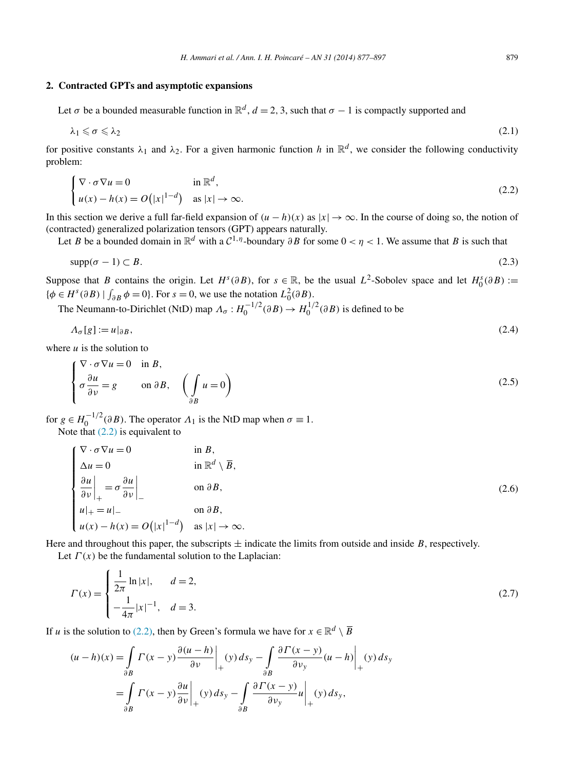### <span id="page-2-0"></span>**2. Contracted GPTs and asymptotic expansions**

$$
\lambda_1 \leqslant \sigma \leqslant \lambda_2 \tag{2.1}
$$

for positive constants  $\lambda_1$  and  $\lambda_2$ . For a given harmonic function *h* in  $\mathbb{R}^d$ , we consider the following conductivity problem:

$$
\begin{cases} \nabla \cdot \sigma \nabla u = 0 & \text{in } \mathbb{R}^d, \\ u(x) - h(x) = O(|x|^{1-d}) & \text{as } |x| \to \infty. \end{cases}
$$
 (2.2)

In this section we derive a full far-field expansion of  $(u - h)(x)$  as  $|x| \to \infty$ . In the course of doing so, the notion of (contracted) generalized polarization tensors (GPT) appears naturally.

Let *B* be a bounded domain in  $\mathbb{R}^d$  with a  $\mathcal{C}^{1,\eta}$ -boundary  $\partial B$  for some  $0 < \eta < 1$ . We assume that *B* is such that

$$
\text{supp}(\sigma - 1) \subset B. \tag{2.3}
$$

Suppose that *B* contains the origin. Let  $H^s(\partial B)$ , for  $s \in \mathbb{R}$ , be the usual  $L^2$ -Sobolev space and let  $H_0^s(\partial B) :=$  $\{\phi \in H^s(\partial B) \mid \int_{\partial B} \phi = 0\}.$  For  $s = 0$ , we use the notation  $L_0^2(\partial B)$ .

The Neumann-to-Dirichlet (NtD) map  $\Lambda_{\sigma}: H_0^{-1/2}(\partial B) \to H_0^{1/2}(\partial B)$  is defined to be

$$
\Lambda_{\sigma}[g] := u|_{\partial B},\tag{2.4}
$$

where  $u$  is the solution to

$$
\begin{cases}\n\nabla \cdot \sigma \nabla u = 0 & \text{in } B, \\
\sigma \frac{\partial u}{\partial \nu} = g & \text{on } \partial B,\n\end{cases}\n\begin{pmatrix}\n\int u = 0 \\
\frac{\partial u}{\partial B}\n\end{pmatrix}
$$
\n(2.5)

for  $g \in H_0^{-1/2}(\partial B)$ . The operator  $\Lambda_1$  is the NtD map when  $\sigma \equiv 1$ . Note that (2.2) is equivalent to

$$
\begin{cases}\n\nabla \cdot \sigma \nabla u = 0 & \text{in } B, \\
\Delta u = 0 & \text{in } \mathbb{R}^d \setminus \overline{B}, \\
\frac{\partial u}{\partial \nu}\Big|_{+} = \sigma \frac{\partial u}{\partial \nu}\Big|_{-} & \text{on } \partial B, \\
u|_{+} = u|_{-} & \text{on } \partial B, \\
u(x) - h(x) = O(|x|^{1-d}) & \text{as } |x| \to \infty.\n\end{cases}
$$
\n(2.6)

Here and throughout this paper, the subscripts  $\pm$  indicate the limits from outside and inside *B*, respectively. Let  $\Gamma(x)$  be the fundamental solution to the Laplacian:

$$
\Gamma(x) = \begin{cases} \frac{1}{2\pi} \ln|x|, & d = 2, \\ -\frac{1}{4\pi}|x|^{-1}, & d = 3. \end{cases}
$$
\n(2.7)

If *u* is the solution to (2.2), then by Green's formula we have for  $x \in \mathbb{R}^d \setminus \overline{B}$ 

$$
(u-h)(x) = \int_{\partial B} \Gamma(x-y) \frac{\partial (u-h)}{\partial v} \Big|_{+}(y) ds_y - \int_{\partial B} \frac{\partial \Gamma(x-y)}{\partial v_y} (u-h) \Big|_{+}(y) ds_y
$$
  
= 
$$
\int_{\partial B} \Gamma(x-y) \frac{\partial u}{\partial v} \Big|_{+}(y) ds_y - \int_{\partial B} \frac{\partial \Gamma(x-y)}{\partial v_y} u \Big|_{+}(y) ds_y,
$$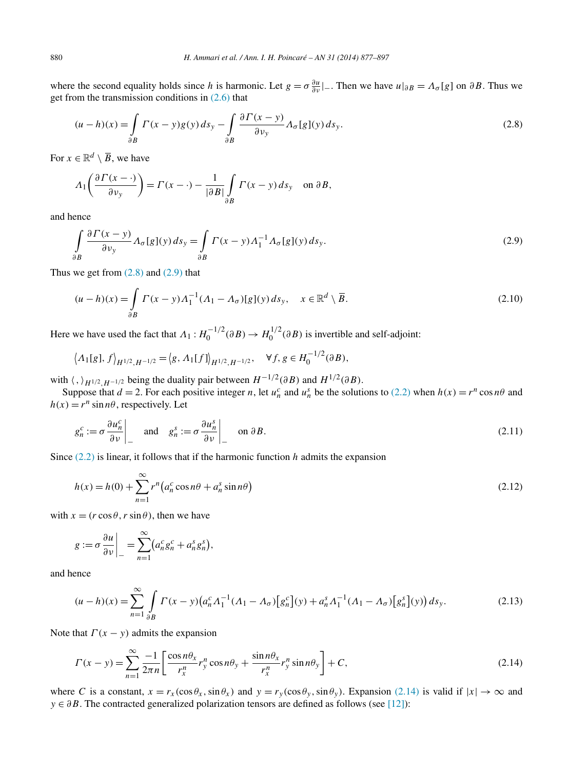<span id="page-3-0"></span>where the second equality holds since *h* is harmonic. Let  $g = \sigma \frac{\partial u}{\partial v}|_{\sigma}$ . Then we have  $u|_{\partial B} = \Lambda_{\sigma}[g]$  on  $\partial B$ . Thus we get from the transmission conditions in  $(2.6)$  that

$$
(u-h)(x) = \int_{\partial B} \Gamma(x-y)g(y) \, ds_y - \int_{\partial B} \frac{\partial \Gamma(x-y)}{\partial v_y} \Lambda_{\sigma}[g](y) \, ds_y. \tag{2.8}
$$

For  $x \in \mathbb{R}^d \setminus \overline{B}$ , we have

$$
\Lambda_1\bigg(\frac{\partial \Gamma(x-\cdot)}{\partial v_y}\bigg) = \Gamma(x-\cdot) - \frac{1}{|\partial B|} \int\limits_{\partial B} \Gamma(x-y) \, ds_y \quad \text{on } \partial B,
$$

and hence

$$
\int_{\partial B} \frac{\partial \Gamma(x - y)}{\partial v_y} \Lambda_{\sigma}[g](y) \, ds_y = \int_{\partial B} \Gamma(x - y) \Lambda_1^{-1} \Lambda_{\sigma}[g](y) \, ds_y. \tag{2.9}
$$

Thus we get from  $(2.8)$  and  $(2.9)$  that

$$
(u-h)(x) = \int_{\partial B} \Gamma(x-y) \Lambda_1^{-1} (\Lambda_1 - \Lambda_\sigma) [g](y) \, ds_y, \quad x \in \mathbb{R}^d \setminus \overline{B}.
$$
\n
$$
(2.10)
$$

Here we have used the fact that  $\Lambda_1: H_0^{-1/2}(\partial B) \to H_0^{1/2}(\partial B)$  is invertible and self-adjoint:

$$
\left\langle \Lambda_1[g], f \right\rangle_{H^{1/2}, H^{-1/2}} = \left\langle g, \Lambda_1[f] \right\rangle_{H^{1/2}, H^{-1/2}}, \quad \forall f, g \in H_0^{-1/2}(\partial B),
$$

with  $\langle , \rangle_{H^{1/2}, H^{-1/2}}$  being the duality pair between  $H^{-1/2}(\partial B)$  and  $H^{1/2}(\partial B)$ .

Suppose that  $d = 2$ . For each positive integer *n*, let  $u_n^c$  and  $u_n^s$  be the solutions to [\(2.2\)](#page-2-0) when  $h(x) = r^n \cos n\theta$  and  $h(x) = r^n \sin n\theta$ , respectively. Let

$$
g_n^c := \sigma \frac{\partial u_n^c}{\partial v} \bigg|_{-} \quad \text{and} \quad g_n^s := \sigma \frac{\partial u_n^s}{\partial v} \bigg|_{-} \quad \text{on } \partial B. \tag{2.11}
$$

Since [\(2.2\)](#page-2-0) is linear, it follows that if the harmonic function *h* admits the expansion

$$
h(x) = h(0) + \sum_{n=1}^{\infty} r^n \left( a_n^c \cos n\theta + a_n^s \sin n\theta \right)
$$
\n(2.12)

with  $x = (r \cos \theta, r \sin \theta)$ , then we have

$$
g := \sigma \frac{\partial u}{\partial v} \bigg|_{-} = \sum_{n=1}^{\infty} \big( a_n^c g_n^c + a_n^s g_n^s \big),
$$

and hence

$$
(u-h)(x) = \sum_{n=1}^{\infty} \int_{\partial B} \Gamma(x-y) \left( a_n^c A_1^{-1} (A_1 - A_\sigma) \left[ g_n^c \right] (y) + a_n^s A_1^{-1} (A_1 - A_\sigma) \left[ g_n^s \right] (y) \right) ds_y.
$$
 (2.13)

Note that  $\Gamma(x - y)$  admits the expansion

$$
\Gamma(x - y) = \sum_{n=1}^{\infty} \frac{-1}{2\pi n} \left[ \frac{\cos n\theta_x}{r_x^n} r_y^n \cos n\theta_y + \frac{\sin n\theta_x}{r_x^n} r_y^n \sin n\theta_y \right] + C,\tag{2.14}
$$

where C is a constant,  $x = r_x(\cos \theta_x, \sin \theta_x)$  and  $y = r_y(\cos \theta_y, \sin \theta_y)$ . Expansion (2.14) is valid if  $|x| \to \infty$  and *y* ∈  $\partial B$ . The contracted generalized polarization tensors are defined as follows (see [\[12\]\)](#page-19-0):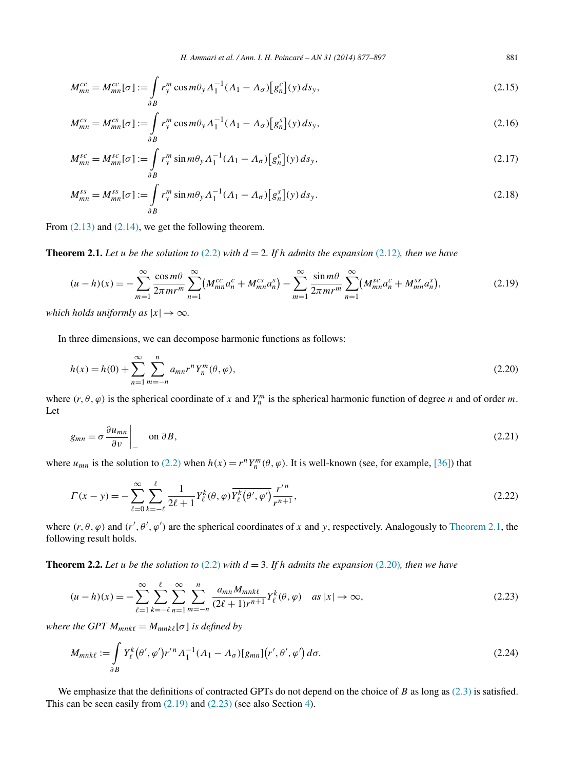<span id="page-4-0"></span>
$$
M_{mn}^{cc} = M_{mn}^{cc}[\sigma] := \int_{\partial B} r_y^m \cos m\theta_y \Lambda_1^{-1} (\Lambda_1 - \Lambda_\sigma) \left[ g_n^c \right](y) \, ds_y,\tag{2.15}
$$

$$
M_{mn}^{cs} = M_{mn}^{cs}[\sigma] := \int_{\partial B} r_y^m \cos m\theta_y \Lambda_1^{-1} (\Lambda_1 - \Lambda_\sigma) [g_n^s](y) ds_y,
$$
 (2.16)

$$
M_{mn}^{sc} = M_{mn}^{sc}[\sigma] := \int\limits_{\partial B} r_y^m \sin m\theta_y \Lambda_1^{-1} (\Lambda_1 - \Lambda_\sigma) [g_n^c](y) \, ds_y,\tag{2.17}
$$

$$
M_{mn}^{ss} = M_{mn}^{ss}[\sigma] := \int_{\partial B} r_y^m \sin m\theta_y \Lambda_1^{-1} (\Lambda_1 - \Lambda_\sigma) [g_n^s](y) \, ds_y. \tag{2.18}
$$

From  $(2.13)$  and  $(2.14)$ , we get the following theorem.

**Theorem 2.1.** Let *u* be the solution to [\(2.2\)](#page-2-0) with  $d = 2$ . If h admits the expansion [\(2.12\)](#page-3-0), then we have

$$
(u-h)(x) = -\sum_{m=1}^{\infty} \frac{\cos m\theta}{2\pi m r^m} \sum_{n=1}^{\infty} \left( M_{mn}^{cc} a_n^c + M_{mn}^{cs} a_n^s \right) - \sum_{m=1}^{\infty} \frac{\sin m\theta}{2\pi m r^m} \sum_{n=1}^{\infty} \left( M_{mn}^{sc} a_n^c + M_{mn}^{ss} a_n^s \right),\tag{2.19}
$$

*which holds uniformly as*  $|x| \to \infty$ *.* 

In three dimensions, we can decompose harmonic functions as follows:

$$
h(x) = h(0) + \sum_{n=1}^{\infty} \sum_{m=-n}^{n} a_{mn} r^n Y_n^m(\theta, \varphi),
$$
\n(2.20)

where  $(r, \theta, \varphi)$  is the spherical coordinate of *x* and  $Y_n^m$  is the spherical harmonic function of degree *n* and of order *m*. Let

$$
g_{mn} = \sigma \frac{\partial u_{mn}}{\partial v} \bigg|_{v} \quad \text{on } \partial B,
$$
\n(2.21)

where  $u_{mn}$  is the solution to [\(2.2\)](#page-2-0) when  $h(x) = r^n Y_n^m(\theta, \varphi)$ . It is well-known (see, for example, [\[36\]\)](#page-20-0) that

$$
\Gamma(x - y) = -\sum_{\ell=0}^{\infty} \sum_{k=-\ell}^{\ell} \frac{1}{2\ell+1} Y_{\ell}^{k}(\theta, \varphi) \overline{Y_{\ell}^{k}(\theta', \varphi')} \frac{r'^{n}}{r^{n+1}},
$$
\n(2.22)

where  $(r, \theta, \varphi)$  and  $(r', \theta', \varphi')$  are the spherical coordinates of x and y, respectively. Analogously to Theorem 2.1, the following result holds.

**Theorem 2.2.** Let *u* be the solution to  $(2.2)$  with  $d = 3$ . If h admits the expansion  $(2.20)$ *, then we have* 

$$
(u-h)(x) = -\sum_{\ell=1}^{\infty} \sum_{k=-\ell}^{\ell} \sum_{n=1}^{\infty} \sum_{m=-n}^{n} \frac{a_{mn} M_{mnk\ell}}{(2\ell+1)r^{n+1}} Y_{\ell}^{k}(\theta, \varphi) \quad \text{as } |x| \to \infty,
$$
\n(2.23)

*where the GPT*  $M_{mnk\ell} = M_{mnk\ell}[\sigma]$  *is defined by* 

$$
M_{mnk\ell} := \int_{\partial B} Y_{\ell}^{k} (\theta', \varphi') r'^{n} \Lambda_1^{-1} (\Lambda_1 - \Lambda_{\sigma}) [g_{mn}] (r', \theta', \varphi') d\sigma.
$$
 (2.24)

We emphasize that the definitions of contracted GPTs do not depend on the choice of *B* as long as [\(2.3\)](#page-2-0) is satisfied. This can be seen easily from (2.19) and (2.23) (see also Section [4\)](#page-9-0).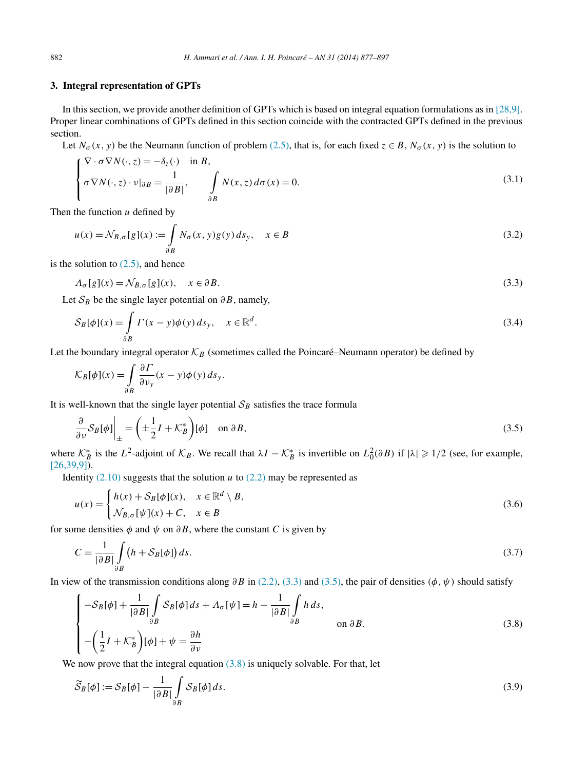## <span id="page-5-0"></span>**3. Integral representation of GPTs**

In this section, we provide another definition of GPTs which is based on integral equation formulations as in [\[28,9\].](#page-20-0) Proper linear combinations of GPTs defined in this section coincide with the contracted GPTs defined in the previous section.

Let  $N_{\sigma}(x, y)$  be the Neumann function of problem [\(2.5\),](#page-2-0) that is, for each fixed  $z \in B$ ,  $N_{\sigma}(x, y)$  is the solution to

$$
\begin{cases} \nabla \cdot \sigma \nabla N(\cdot, z) = -\delta_z(\cdot) & \text{in } B, \\ \sigma \nabla N(\cdot, z) \cdot \nu|_{\partial B} = \frac{1}{|\partial B|}, \qquad \int_{\partial B} N(x, z) d\sigma(x) = 0. \end{cases}
$$
\n(3.1)

Then the function *u* defined by

$$
u(x) = \mathcal{N}_{B,\sigma}[g](x) := \int_{\partial B} N_{\sigma}(x, y)g(y) \, ds_y, \quad x \in B \tag{3.2}
$$

is the solution to  $(2.5)$ , and hence

$$
\Lambda_{\sigma}[g](x) = \mathcal{N}_{B,\sigma}[g](x), \quad x \in \partial B. \tag{3.3}
$$

Let  $S_B$  be the single layer potential on  $\partial B$ , namely,

$$
\mathcal{S}_B[\phi](x) = \int_{\partial B} \Gamma(x - y)\phi(y) \, ds_y, \quad x \in \mathbb{R}^d. \tag{3.4}
$$

Let the boundary integral operator  $K_B$  (sometimes called the Poincaré–Neumann operator) be defined by

$$
\mathcal{K}_B[\phi](x) = \int_{\partial B} \frac{\partial \varGamma}{\partial v_y}(x - y) \phi(y) \, ds_y.
$$

It is well-known that the single layer potential  $S_B$  satisfies the trace formula

$$
\frac{\partial}{\partial \nu} S_B[\phi] \Big|_{\pm} = \left( \pm \frac{1}{2} I + \mathcal{K}_B^* \right) [\phi] \quad \text{on } \partial B,
$$
\n(3.5)

where  $\mathcal{K}_{B}^{*}$  is the  $L^{2}$ -adjoint of  $\mathcal{K}_{B}$ . We recall that  $\lambda I - \mathcal{K}_{B}^{*}$  is invertible on  $L_{0}^{2}(\partial B)$  if  $|\lambda| \geq 1/2$  (see, for example,  $[26,39,9]$ ).

Identity  $(2.10)$  suggests that the solution *u* to  $(2.2)$  may be represented as

$$
u(x) = \begin{cases} h(x) + S_B[\phi](x), & x \in \mathbb{R}^d \setminus B, \\ \mathcal{N}_{B,\sigma}[\psi](x) + C, & x \in B \end{cases}
$$
 (3.6)

for some densities  $\phi$  and  $\psi$  on  $\partial B$ , where the constant *C* is given by

$$
C = \frac{1}{|\partial B|} \int_{\partial B} \left( h + S_B[\phi] \right) ds. \tag{3.7}
$$

In view of the transmission conditions along  $\partial B$  in [\(2.2\),](#page-2-0) (3.3) and (3.5), the pair of densities  $(\phi, \psi)$  should satisfy

$$
\begin{cases}\n-\mathcal{S}_B[\phi] + \frac{1}{|\partial B|} \int_{\partial B} \mathcal{S}_B[\phi] ds + \Lambda_\sigma[\psi] = h - \frac{1}{|\partial B|} \int_{\partial B} h ds, \\
-\left(\frac{1}{2}I + \mathcal{K}_B^*\right)[\phi] + \psi = \frac{\partial h}{\partial \nu}\n\end{cases}
$$
\n(3.8)

We now prove that the integral equation  $(3.8)$  is uniquely solvable. For that, let

$$
\widetilde{S}_B[\phi] := S_B[\phi] - \frac{1}{|\partial B|} \int_{\partial B} S_B[\phi] ds.
$$
\n(3.9)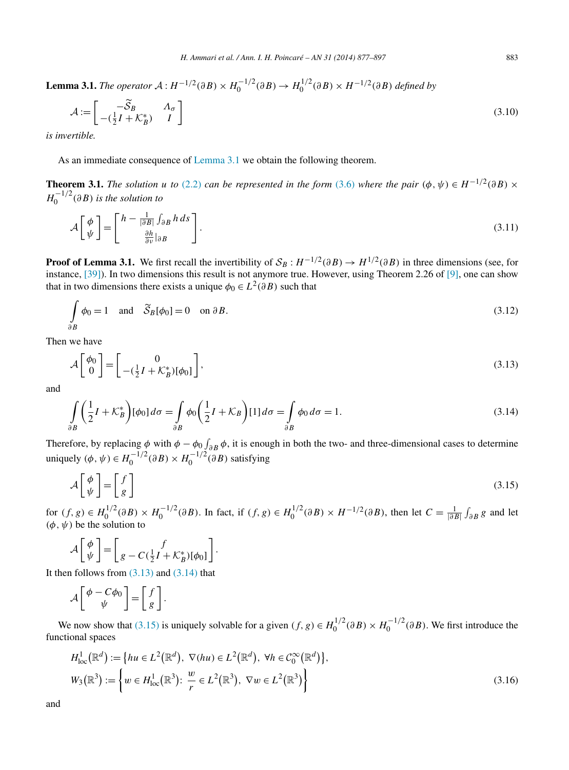<span id="page-6-0"></span>**Lemma 3.1.** *The operator*  $A: H^{-1/2}(\partial B) \times H_0^{-1/2}(\partial B) \to H_0^{1/2}(\partial B) \times H^{-1/2}(\partial B)$  defined by

$$
\mathcal{A} := \begin{bmatrix} -\widetilde{S}_B & \Lambda_\sigma \\ -(\frac{1}{2}I + \mathcal{K}_B^*) & I \end{bmatrix} \tag{3.10}
$$

*is invertible.*

As an immediate consequence of Lemma 3.1 we obtain the following theorem.

**Theorem 3.1.** *The solution u to* [\(2.2\)](#page-2-0) *can be represented in the form* [\(3.6\)](#page-5-0) *where the pair*  $(\phi, \psi) \in H^{-1/2}(\partial B) \times$  $H_0^{-1/2}(\partial B)$  *is the solution to* 

$$
\mathcal{A}\left[\begin{array}{c}\phi\\\psi\end{array}\right]=\left[\begin{array}{c}h-\frac{1}{|\partial B|}\int_{\partial B}h\,ds\\ \frac{\partial h}{\partial \nu}|_{\partial B}\end{array}\right].\tag{3.11}
$$

**Proof of Lemma 3.1.** We first recall the invertibility of  $S_B: H^{-1/2}(\partial B) \to H^{1/2}(\partial B)$  in three dimensions (see, for instance, [\[39\]\)](#page-20-0). In two dimensions this result is not anymore true. However, using Theorem 2.26 of [\[9\],](#page-19-0) one can show that in two dimensions there exists a unique  $\phi_0 \in L^2(\partial B)$  such that

$$
\int_{\partial B} \phi_0 = 1 \quad \text{and} \quad \widetilde{\mathcal{S}}_B[\phi_0] = 0 \quad \text{on } \partial B. \tag{3.12}
$$

Then we have

$$
\mathcal{A}\begin{bmatrix} \phi_0 \\ 0 \end{bmatrix} = \begin{bmatrix} 0 \\ -(\frac{1}{2}I + \mathcal{K}_B^*)[\phi_0] \end{bmatrix},\tag{3.13}
$$

and

$$
\int_{\partial B} \left( \frac{1}{2} I + \mathcal{K}_B^* \right) [\phi_0] d\sigma = \int_{\partial B} \phi_0 \left( \frac{1}{2} I + \mathcal{K}_B \right) [1] d\sigma = \int_{\partial B} \phi_0 d\sigma = 1.
$$
\n(3.14)

Therefore, by replacing  $\phi$  with  $\phi - \phi_0 f_{\partial B} \phi$ , it is enough in both the two- and three-dimensional cases to determine uniquely  $(\phi, \psi) \in H_0^{-1/2}(\partial B) \times H_0^{-1/2}(\partial B)$  satisfying

$$
\mathcal{A}\left[\begin{array}{c}\phi\\\psi\end{array}\right]=\left[\begin{array}{c}f\\g\end{array}\right]
$$
\n(3.15)

for  $(f, g) \in H_0^{1/2}(\partial B) \times H_0^{-1/2}(\partial B)$ . In fact, if  $(f, g) \in H_0^{1/2}(\partial B) \times H^{-1/2}(\partial B)$ , then let  $C = \frac{1}{|\partial B|} \int_{\partial B} g$  and let *(φ, ψ)* be the solution to

$$
\mathcal{A}\left[\begin{array}{c} \phi \\ \psi \end{array}\right] = \left[\begin{array}{c} f \\ g - C(\frac{1}{2}I + \mathcal{K}_B^*)[\phi_0] \end{array}\right].
$$

It then follows from  $(3.13)$  and  $(3.14)$  that

$$
\mathcal{A}\left[\begin{array}{c}\phi - C\phi_0\\\psi\end{array}\right] = \left[\begin{array}{c}f\\g\end{array}\right].
$$

We now show that (3.15) is uniquely solvable for a given  $(f, g) \in H_0^{1/2}(\partial B) \times H_0^{-1/2}(\partial B)$ . We first introduce the functional spaces

$$
H_{\text{loc}}^{1}(\mathbb{R}^{d}) := \left\{ hu \in L^{2}(\mathbb{R}^{d}), \ \nabla(hu) \in L^{2}(\mathbb{R}^{d}), \ \forall h \in C_{0}^{\infty}(\mathbb{R}^{d}) \right\},
$$
  
\n
$$
W_{3}(\mathbb{R}^{3}) := \left\{ w \in H_{\text{loc}}^{1}(\mathbb{R}^{3}) : \ \frac{w}{r} \in L^{2}(\mathbb{R}^{3}), \ \nabla w \in L^{2}(\mathbb{R}^{3}) \right\}
$$
\n(3.16)

and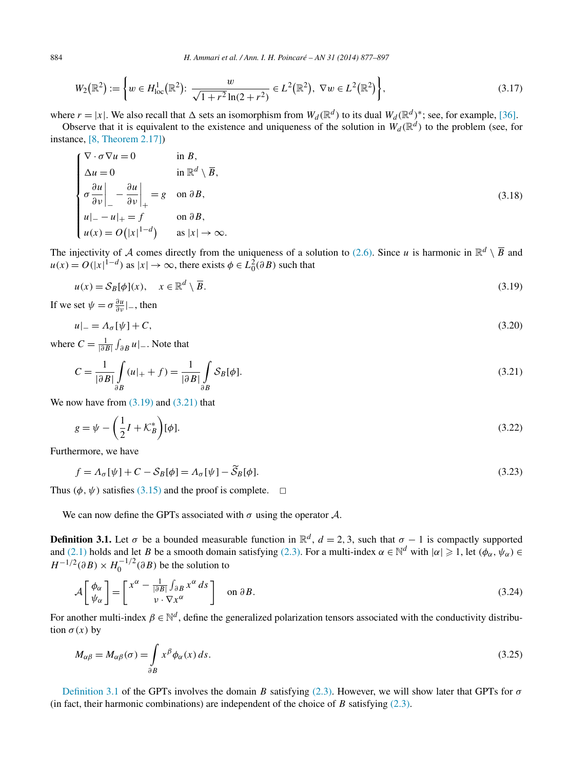$$
W_2(\mathbb{R}^2) := \left\{ w \in H^1_{loc}(\mathbb{R}^2) : \frac{w}{\sqrt{1 + r^2} \ln(2 + r^2)} \in L^2(\mathbb{R}^2), \ \nabla w \in L^2(\mathbb{R}^2) \right\},\tag{3.17}
$$

where  $r = |x|$ . We also recall that  $\Delta$  sets an isomorphism from  $W_d(\mathbb{R}^d)$  to its dual  $W_d(\mathbb{R}^d)^*$ ; see, for example, [\[36\].](#page-20-0)

Observe that it is equivalent to the existence and uniqueness of the solution in  $W_d(\mathbb{R}^d)$  to the problem (see, for instance, [\[8, Theorem 2.17\]\)](#page-19-0)

$$
\begin{cases}\n\nabla \cdot \sigma \nabla u = 0 & \text{in } B, \\
\Delta u = 0 & \text{in } \mathbb{R}^d \setminus \overline{B}, \\
\sigma \frac{\partial u}{\partial v} \Big|_{-} - \frac{\partial u}{\partial v} \Big|_{+} = g & \text{on } \partial B, \\
u|_{-} - u|_{+} = f & \text{on } \partial B, \\
u(x) = O(|x|^{1-d}) & \text{as } |x| \to \infty.\n\end{cases}
$$
\n(3.18)

The injectivity of A comes directly from the uniqueness of a solution to [\(2.6\).](#page-2-0) Since *u* is harmonic in  $\mathbb{R}^d \setminus \overline{B}$  and  $u(x) = O(|x|^{1-d})$  as  $|x| \to \infty$ , there exists  $\phi \in L_0^2(\partial B)$  such that

$$
u(x) = S_B[\phi](x), \quad x \in \mathbb{R}^d \setminus \overline{B}.
$$
\n(3.19)

If we set  $\psi = \sigma \frac{\partial u}{\partial v}|_-,$  then

$$
u|_{-} = \Lambda_{\sigma}[\psi] + C,\tag{3.20}
$$

where  $C = \frac{1}{|\partial B|} \int_{\partial B} u |_{-}$ . Note that

$$
C = \frac{1}{|\partial B|} \int_{\partial B} (u|_{+} + f) = \frac{1}{|\partial B|} \int_{\partial B} S_B[\phi].
$$
\n(3.21)

We now have from  $(3.19)$  and  $(3.21)$  that

$$
g = \psi - \left(\frac{1}{2}I + \mathcal{K}_B^*\right)[\phi].\tag{3.22}
$$

Furthermore, we have

$$
f = \Lambda_{\sigma}[\psi] + C - S_B[\phi] = \Lambda_{\sigma}[\psi] - \tilde{S}_B[\phi].
$$
\n(3.23)

Thus  $(\phi, \psi)$  satisfies [\(3.15\)](#page-6-0) and the proof is complete.  $\Box$ 

We can now define the GPTs associated with  $\sigma$  using the operator  $\mathcal{A}$ .

**Definition 3.1.** Let  $\sigma$  be a bounded measurable function in  $\mathbb{R}^d$ ,  $d = 2, 3$ , such that  $\sigma - 1$  is compactly supported and [\(2.1\)](#page-2-0) holds and let *B* be a smooth domain satisfying [\(2.3\).](#page-2-0) For a multi-index  $\alpha \in \mathbb{N}^d$  with  $|\alpha| \geq 1$ , let  $(\phi_\alpha, \psi_\alpha) \in$  $H^{-1/2}(\partial B) \times H_0^{-1/2}(\partial B)$  be the solution to

$$
\mathcal{A}\left[\begin{array}{c}\phi_{\alpha}\\ \psi_{\alpha}\end{array}\right]=\left[\begin{array}{c}x^{\alpha}-\frac{1}{|\partial B|}\int_{\partial B}x^{\alpha}ds\\ \nu\cdot\nabla x^{\alpha}\end{array}\right]\quad\text{on }\partial B.
$$
\n(3.24)

For another multi-index  $\beta \in \mathbb{N}^d$ , define the generalized polarization tensors associated with the conductivity distribution  $\sigma(x)$  by

$$
M_{\alpha\beta} = M_{\alpha\beta}(\sigma) = \int_{\partial B} x^{\beta} \phi_{\alpha}(x) \, ds. \tag{3.25}
$$

Definition 3.1 of the GPTs involves the domain *B* satisfying [\(2.3\).](#page-2-0) However, we will show later that GPTs for  $\sigma$ (in fact, their harmonic combinations) are independent of the choice of *B* satisfying  $(2.3)$ .

<span id="page-7-0"></span>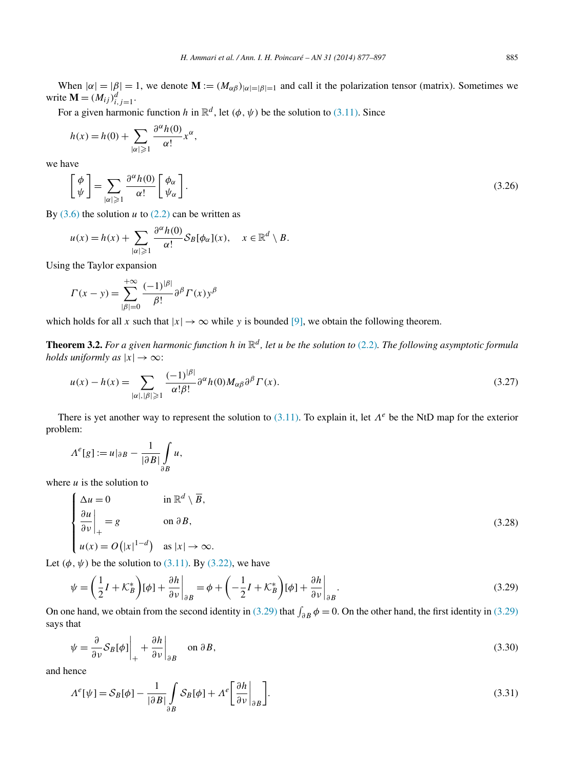<span id="page-8-0"></span>When  $|\alpha| = |\beta| = 1$ , we denote  $\mathbf{M} := (M_{\alpha\beta})_{|\alpha| = |\beta| = 1}$  and call it the polarization tensor (matrix). Sometimes we write  $\mathbf{M} = (M_{ij})_{i,j=1}^d$ .

For a given harmonic function *h* in  $\mathbb{R}^d$ , let  $(\phi, \psi)$  be the solution to [\(3.11\).](#page-6-0) Since

$$
h(x) = h(0) + \sum_{|\alpha| \geq 1} \frac{\partial^{\alpha} h(0)}{\alpha!} x^{\alpha},
$$

we have

$$
\left[\begin{array}{c}\n\phi \\
\psi\n\end{array}\right] = \sum_{|\alpha| \geqslant 1} \frac{\partial^{\alpha} h(0)}{\alpha!} \left[\begin{array}{c}\n\phi_{\alpha} \\
\psi_{\alpha}\n\end{array}\right].\n\tag{3.26}
$$

By  $(3.6)$  the solution *u* to  $(2.2)$  can be written as

$$
u(x) = h(x) + \sum_{|\alpha| \geqslant 1} \frac{\partial^{\alpha} h(0)}{\alpha!} S_B[\phi_{\alpha}](x), \quad x \in \mathbb{R}^d \setminus B.
$$

Using the Taylor expansion

$$
\Gamma(x - y) = \sum_{|\beta| = 0}^{+\infty} \frac{(-1)^{|\beta|}}{\beta!} \partial^{\beta} \Gamma(x) y^{\beta}
$$

which holds for all *x* such that  $|x| \to \infty$  while *y* is bounded [\[9\],](#page-19-0) we obtain the following theorem.

**Theorem 3.2.** *For a given harmonic function h in* R*<sup>d</sup> , let u be the solution to* [\(2.2\)](#page-2-0)*. The following asymptotic formula holds uniformly as*  $|x| \to \infty$ :

$$
u(x) - h(x) = \sum_{|\alpha|, |\beta| \ge 1} \frac{(-1)^{|\beta|}}{\alpha! \beta!} \partial^{\alpha} h(0) M_{\alpha \beta} \partial^{\beta} \Gamma(x). \tag{3.27}
$$

There is yet another way to represent the solution to [\(3.11\).](#page-6-0) To explain it, let *Λ<sup>e</sup>* be the NtD map for the exterior problem:

$$
\Lambda^{e}[g] := u|_{\partial B} - \frac{1}{|\partial B|} \int_{\partial B} u,
$$

where  $u$  is the solution to

$$
\begin{cases}\n\Delta u = 0 & \text{in } \mathbb{R}^d \setminus \overline{B}, \\
\frac{\partial u}{\partial \nu}\Big|_{+} = g & \text{on } \partial B, \\
u(x) = O(|x|^{1-d}) & \text{as } |x| \to \infty.\n\end{cases}
$$
\n(3.28)

Let  $(\phi, \psi)$  be the solution to [\(3.11\).](#page-6-0) By [\(3.22\),](#page-7-0) we have

$$
\psi = \left(\frac{1}{2}I + \mathcal{K}_B^*\right)[\phi] + \frac{\partial h}{\partial v}\Big|_{\partial B} = \phi + \left(-\frac{1}{2}I + \mathcal{K}_B^*\right)[\phi] + \frac{\partial h}{\partial v}\Big|_{\partial B}.
$$
\n(3.29)

On one hand, we obtain from the second identity in (3.29) that  $\int_{\partial B} \phi = 0$ . On the other hand, the first identity in (3.29) says that

$$
\psi = \frac{\partial}{\partial \nu} S_B[\phi] \bigg|_{+} + \frac{\partial h}{\partial \nu} \bigg|_{\partial B} \quad \text{on } \partial B,
$$
\n(3.30)

and hence

$$
\Lambda^{e}[\psi] = S_B[\phi] - \frac{1}{|\partial B|} \int_{\partial B} S_B[\phi] + \Lambda^{e} \left[ \frac{\partial h}{\partial \nu} \Big|_{\partial B} \right].
$$
\n(3.31)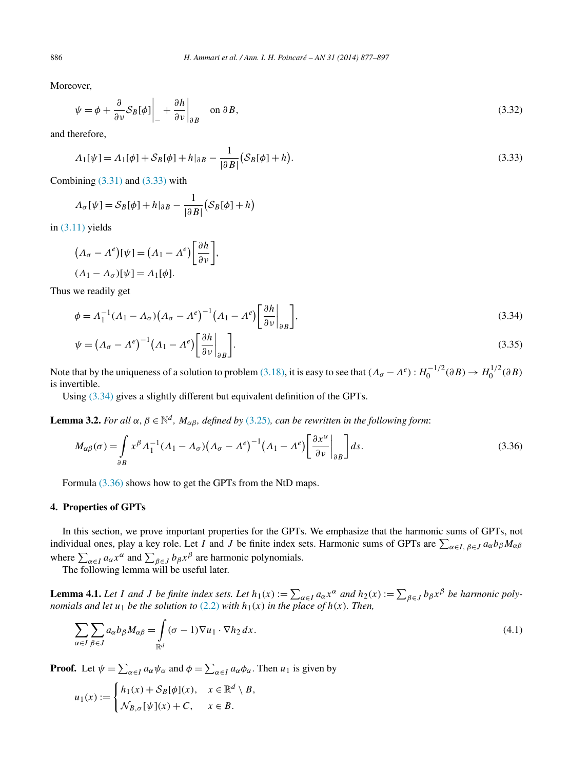Moreover,

$$
\psi = \phi + \frac{\partial}{\partial v} S_B[\phi] \bigg|_{-} + \frac{\partial h}{\partial v} \bigg|_{\partial B} \quad \text{on } \partial B,
$$
\n(3.32)

and therefore,

$$
\Lambda_1[\psi] = \Lambda_1[\phi] + S_B[\phi] + h|_{\partial B} - \frac{1}{|\partial B|} (S_B[\phi] + h).
$$
\n(3.33)

Combining  $(3.31)$  and  $(3.33)$  with

$$
\Lambda_{\sigma}[\psi] = S_B[\phi] + h|_{\partial B} - \frac{1}{|\partial B|} (S_B[\phi] + h)
$$

in [\(3.11\)](#page-6-0) yields

$$
(\Lambda_{\sigma} - \Lambda^e)[\psi] = (\Lambda_1 - \Lambda^e) \left[ \frac{\partial h}{\partial \nu} \right],
$$
  

$$
(\Lambda_1 - \Lambda_{\sigma})[\psi] = \Lambda_1[\phi].
$$

Thus we readily get

$$
\phi = \Lambda_1^{-1} (\Lambda_1 - \Lambda_\sigma) (\Lambda_\sigma - \Lambda^\rho)^{-1} (\Lambda_1 - \Lambda^\rho) \left[ \frac{\partial h}{\partial v} \Big|_{\partial B} \right],\tag{3.34}
$$
\n
$$
\psi = (\Lambda_\sigma - \Lambda^\rho)^{-1} (\Lambda_1 - \Lambda^\rho) \left[ \frac{\partial h}{\partial v} \Big|_{\partial B} \right].\tag{3.35}
$$

$$
\psi = \left(A_{\sigma} - A^e\right)^{-1} \left(A_1 - A^e\right) \left[\frac{\partial h}{\partial v}\Big|_{\partial B}\right].\tag{3.35}
$$

Note that by the uniqueness of a solution to problem [\(3.18\),](#page-7-0) it is easy to see that  $(A_{\sigma} - A^e) : H_0^{-1/2}(\partial B) \to H_0^{1/2}(\partial B)$ is invertible.

Using (3.34) gives a slightly different but equivalent definition of the GPTs.

**Lemma 3.2.** *For all*  $\alpha$ ,  $\beta \in \mathbb{N}^d$ , *M<sub>αβ</sub>*, *defined by* [\(3.25\)](#page-7-0)*, can be rewritten in the following form*:

$$
M_{\alpha\beta}(\sigma) = \int_{\partial B} x^{\beta} \Lambda_1^{-1} (\Lambda_1 - \Lambda_{\sigma}) (\Lambda_{\sigma} - \Lambda^e)^{-1} (\Lambda_1 - \Lambda^e) \left[ \frac{\partial x^{\alpha}}{\partial \nu} \Big|_{\partial B} \right] ds.
$$
 (3.36)

Formula (3.36) shows how to get the GPTs from the NtD maps.

## **4. Properties of GPTs**

In this section, we prove important properties for the GPTs. We emphasize that the harmonic sums of GPTs, not individual ones, play a key role. Let *I* and *J* be finite index sets. Harmonic sums of GPTs are  $\sum_{\alpha \in I, \beta \in J} a_{\alpha} b_{\beta} M_{\alpha\beta}$ where  $\sum_{\alpha \in I} a_{\alpha} x^{\alpha}$  and  $\sum_{\beta \in J} b_{\beta} x^{\beta}$  are harmonic polynomials.

The following lemma will be useful later.

**Lemma 4.1.** Let I and J be finite index sets. Let  $h_1(x) := \sum_{\alpha \in I} a_\alpha x^\alpha$  and  $h_2(x) := \sum_{\beta \in J} b_\beta x^\beta$  be harmonic poly*nomials and let*  $u_1$  *be the solution to* [\(2.2\)](#page-2-0) *with*  $h_1(x)$  *in the place of*  $h(x)$ *. Then,* 

$$
\sum_{\alpha \in I} \sum_{\beta \in J} a_{\alpha} b_{\beta} M_{\alpha \beta} = \int_{\mathbb{R}^d} (\sigma - 1) \nabla u_1 \cdot \nabla h_2 \, dx. \tag{4.1}
$$

**Proof.** Let  $\psi = \sum_{\alpha \in I} a_{\alpha} \psi_{\alpha}$  and  $\phi = \sum_{\alpha \in I} a_{\alpha} \phi_{\alpha}$ . Then  $u_1$  is given by

$$
u_1(x) := \begin{cases} h_1(x) + S_B[\phi](x), & x \in \mathbb{R}^d \setminus B, \\ \mathcal{N}_{B,\sigma}[\psi](x) + C, & x \in B. \end{cases}
$$

<span id="page-9-0"></span>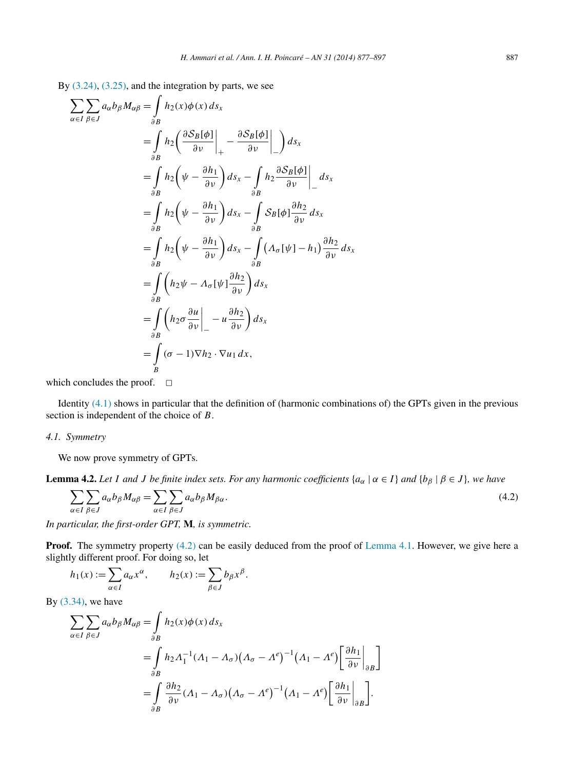<span id="page-10-0"></span>By [\(3.24\),](#page-7-0) [\(3.25\),](#page-7-0) and the integration by parts, we see

$$
\sum_{\alpha \in I} \sum_{\beta \in J} a_{\alpha} b_{\beta} M_{\alpha\beta} = \int_{\partial B} h_2(x) \phi(x) ds_x
$$
  
\n
$$
= \int_{\partial B} h_2 \left( \frac{\partial S_B[\phi]}{\partial v} \Big|_{+} - \frac{\partial S_B[\phi]}{\partial v} \Big|_{-} \right) ds_x
$$
  
\n
$$
= \int_{\partial B} h_2 \left( \psi - \frac{\partial h_1}{\partial v} \right) ds_x - \int_{\partial B} h_2 \frac{\partial S_B[\phi]}{\partial v} \Big|_{-} ds_x
$$
  
\n
$$
= \int_{\partial B} h_2 \left( \psi - \frac{\partial h_1}{\partial v} \right) ds_x - \int_{\partial B} S_B[\phi] \frac{\partial h_2}{\partial v} ds_x
$$
  
\n
$$
= \int_{\partial B} h_2 \left( \psi - \frac{\partial h_1}{\partial v} \right) ds_x - \int_{\partial B} (A_{\sigma}[\psi] - h_1) \frac{\partial h_2}{\partial v} ds_x
$$
  
\n
$$
= \int_{\partial B} \left( h_2 \psi - A_{\sigma}[\psi] \frac{\partial h_2}{\partial v} \right) ds_x
$$
  
\n
$$
= \int_{\partial B} \left( h_2 \sigma \frac{\partial u}{\partial v} \Big|_{-} - u \frac{\partial h_2}{\partial v} \right) ds_x
$$
  
\n
$$
= \int_{B} (\sigma - 1) \nabla h_2 \cdot \nabla u_1 dx,
$$

which concludes the proof.  $\Box$ 

Identity  $(4.1)$  shows in particular that the definition of (harmonic combinations of) the GPTs given in the previous section is independent of the choice of *B*.

#### *4.1. Symmetry*

We now prove symmetry of GPTs.

**Lemma 4.2.** *Let I and J be finite index sets. For any harmonic coefficients*  $\{a_\alpha \mid \alpha \in I\}$  *and*  $\{b_\beta \mid \beta \in J\}$ *, we have* 

$$
\sum_{\alpha \in I} \sum_{\beta \in J} a_{\alpha} b_{\beta} M_{\alpha \beta} = \sum_{\alpha \in I} \sum_{\beta \in J} a_{\alpha} b_{\beta} M_{\beta \alpha}.
$$
\n(4.2)

*In particular, the first-order GPT,* **M***, is symmetric.*

**Proof.** The symmetry property (4.2) can be easily deduced from the proof of [Lemma 4.1.](#page-9-0) However, we give here a slightly different proof. For doing so, let

$$
h_1(x) := \sum_{\alpha \in I} a_{\alpha} x^{\alpha}, \qquad h_2(x) := \sum_{\beta \in J} b_{\beta} x^{\beta}.
$$

By  $(3.34)$ , we have

$$
\sum_{\alpha \in I} \sum_{\beta \in J} a_{\alpha} b_{\beta} M_{\alpha\beta} = \int_{\partial B} h_2(x) \phi(x) \, ds_x
$$
\n
$$
= \int_{\partial B} h_2 \Lambda_1^{-1} (\Lambda_1 - \Lambda_\sigma) (\Lambda_\sigma - \Lambda^e)^{-1} (\Lambda_1 - \Lambda^e) \left[ \frac{\partial h_1}{\partial v} \Big|_{\partial B} \right]
$$
\n
$$
= \int_{\partial B} \frac{\partial h_2}{\partial v} (\Lambda_1 - \Lambda_\sigma) (\Lambda_\sigma - \Lambda^e)^{-1} (\Lambda_1 - \Lambda^e) \left[ \frac{\partial h_1}{\partial v} \Big|_{\partial B} \right].
$$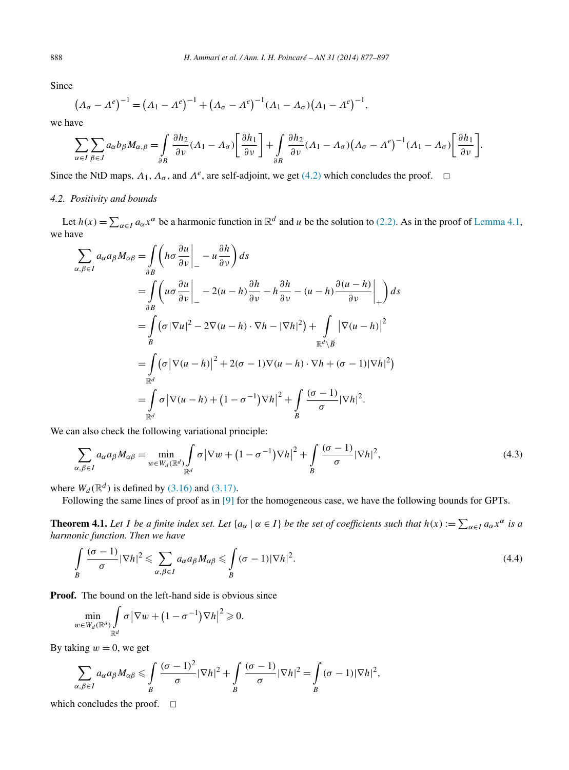Since

$$
(\Lambda_{\sigma} - \Lambda^e)^{-1} = (\Lambda_1 - \Lambda^e)^{-1} + (\Lambda_{\sigma} - \Lambda^e)^{-1}(\Lambda_1 - \Lambda_{\sigma})(\Lambda_1 - \Lambda^e)^{-1},
$$

we have

$$
\sum_{\alpha \in I} \sum_{\beta \in J} a_{\alpha} b_{\beta} M_{\alpha,\beta} = \int_{\partial B} \frac{\partial h_2}{\partial \nu} (A_1 - A_\sigma) \left[ \frac{\partial h_1}{\partial \nu} \right] + \int_{\partial B} \frac{\partial h_2}{\partial \nu} (A_1 - A_\sigma) (A_\sigma - A^\epsilon)^{-1} (A_1 - A_\sigma) \left[ \frac{\partial h_1}{\partial \nu} \right].
$$

Since the NtD maps,  $\Lambda_1$ ,  $\Lambda_\sigma$ , and  $\Lambda^e$ , are self-adjoint, we get [\(4.2\)](#page-10-0) which concludes the proof.  $\Box$ 

#### *4.2. Positivity and bounds*

Let  $h(x) = \sum_{\alpha \in I} a_{\alpha} x^{\alpha}$  be a harmonic function in  $\mathbb{R}^d$  and *u* be the solution to [\(2.2\).](#page-2-0) As in the proof of [Lemma 4.1,](#page-9-0) we have

$$
\sum_{\alpha,\beta\in I} a_{\alpha}a_{\beta}M_{\alpha\beta} = \int_{\partial B} \left( h\sigma \frac{\partial u}{\partial \nu} \Big|_{-} - u\frac{\partial h}{\partial \nu} \right) ds
$$
  
\n
$$
= \int_{\partial B} \left( u\sigma \frac{\partial u}{\partial \nu} \Big|_{-} - 2(u-h)\frac{\partial h}{\partial \nu} - h\frac{\partial h}{\partial \nu} - (u-h)\frac{\partial (u-h)}{\partial \nu} \Big|_{+} \right) ds
$$
  
\n
$$
= \int_{B} (\sigma |\nabla u|^2 - 2\nabla (u-h) \cdot \nabla h - |\nabla h|^2) + \int_{\mathbb{R}^d \setminus \overline{B}} |\nabla (u-h)|^2
$$
  
\n
$$
= \int_{\mathbb{R}^d} (\sigma |\nabla (u-h)|^2 + 2(\sigma - 1)\nabla (u-h) \cdot \nabla h + (\sigma - 1)|\nabla h|^2)
$$
  
\n
$$
= \int_{\mathbb{R}^d} \sigma |\nabla (u-h) + (1-\sigma^{-1})\nabla h|^2 + \int_{B} \frac{(\sigma - 1)}{\sigma} |\nabla h|^2.
$$

We can also check the following variational principle:

$$
\sum_{\alpha,\beta\in I} a_{\alpha} a_{\beta} M_{\alpha\beta} = \min_{w\in W_d(\mathbb{R}^d)} \int_{\mathbb{R}^d} \sigma \left| \nabla w + (1 - \sigma^{-1}) \nabla h \right|^2 + \int_{B} \frac{(\sigma - 1)}{\sigma} |\nabla h|^2, \tag{4.3}
$$

where  $W_d(\mathbb{R}^d)$  is defined by [\(3.16\)](#page-6-0) and [\(3.17\).](#page-7-0)

Following the same lines of proof as in [\[9\]](#page-19-0) for the homogeneous case, we have the following bounds for GPTs.

**Theorem 4.1.** Let *I* be a finite index set. Let  $\{a_\alpha \mid \alpha \in I\}$  be the set of coefficients such that  $h(x) := \sum_{\alpha \in I} a_\alpha x^\alpha$  is a *harmonic function. Then we have*

$$
\int_{B} \frac{(\sigma - 1)}{\sigma} |\nabla h|^{2} \leqslant \sum_{\alpha, \beta \in I} a_{\alpha} a_{\beta} M_{\alpha \beta} \leqslant \int_{B} (\sigma - 1) |\nabla h|^{2}.
$$
\n(4.4)

**Proof.** The bound on the left-hand side is obvious since

$$
\min_{w \in W_d(\mathbb{R}^d)} \int_{\mathbb{R}^d} \sigma |\nabla w + (1 - \sigma^{-1}) \nabla h|^2 \geqslant 0.
$$

By taking  $w = 0$ , we get

$$
\sum_{\alpha,\beta\in I} a_{\alpha}a_{\beta}M_{\alpha\beta} \leq \int_{B} \frac{(\sigma-1)^2}{\sigma}|\nabla h|^2 + \int_{B} \frac{(\sigma-1)}{\sigma}|\nabla h|^2 = \int_{B} (\sigma-1)|\nabla h|^2,
$$

which concludes the proof.  $\Box$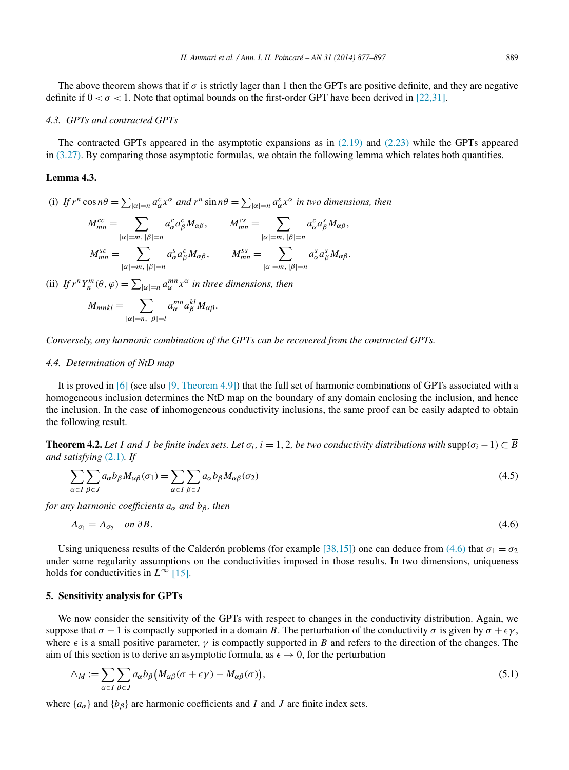#### <span id="page-12-0"></span>*4.3. GPTs and contracted GPTs*

The contracted GPTs appeared in the asymptotic expansions as in  $(2.19)$  and  $(2.23)$  while the GPTs appeared in [\(3.27\).](#page-8-0) By comparing those asymptotic formulas, we obtain the following lemma which relates both quantities.

## **Lemma 4.3.**

(i) If  $r^n \cos n\theta = \sum_{|\alpha|=n} a_{\alpha}^c x^{\alpha}$  and  $r^n \sin n\theta = \sum_{|\alpha|=n} a_{\alpha}^s x^{\alpha}$  in two dimensions, then

$$
M_{mn}^{cc} = \sum_{|\alpha|=m, |\beta|=n} a_{\alpha}^c a_{\beta}^c M_{\alpha\beta}, \qquad M_{mn}^{cs} = \sum_{|\alpha|=m, |\beta|=n} a_{\alpha}^c a_{\beta}^s M_{\alpha\beta},
$$
  

$$
M_{mn}^{sc} = \sum_{|\alpha|=m, |\beta|=n} a_{\alpha}^s a_{\beta}^c M_{\alpha\beta}, \qquad M_{mn}^{ss} = \sum_{|\alpha|=m, |\beta|=n} a_{\alpha}^s a_{\beta}^s M_{\alpha\beta}.
$$

(ii) *If*  $r^n Y_n^m(\theta, \varphi) = \sum_{|\alpha|=n} a_{\alpha}^{mn} x^{\alpha}$  *in three dimensions, then* 

$$
M_{mnkl} = \sum_{|\alpha|=n, |\beta|=l} a_{\alpha}^{mn} a_{\beta}^{kl} M_{\alpha\beta}.
$$

*Conversely, any harmonic combination of the GPTs can be recovered from the contracted GPTs.*

## *4.4. Determination of NtD map*

It is proved in [\[6\]](#page-19-0) (see also [\[9, Theorem 4.9\]\)](#page-19-0) that the full set of harmonic combinations of GPTs associated with a homogeneous inclusion determines the NtD map on the boundary of any domain enclosing the inclusion, and hence the inclusion. In the case of inhomogeneous conductivity inclusions, the same proof can be easily adapted to obtain the following result.

**Theorem 4.2.** Let *I* and *J* be finite index sets. Let  $\sigma_i$ ,  $i = 1, 2$ , be two conductivity distributions with supp $(\sigma_i - 1) \subset \overline{B}$ *and satisfying* [\(2.1\)](#page-2-0)*. If*

$$
\sum_{\alpha \in I} \sum_{\beta \in J} a_{\alpha} b_{\beta} M_{\alpha\beta}(\sigma_1) = \sum_{\alpha \in I} \sum_{\beta \in J} a_{\alpha} b_{\beta} M_{\alpha\beta}(\sigma_2)
$$
\n(4.5)

*for any harmonic coefficients*  $a_{\alpha}$  *and*  $b_{\beta}$ *, then* 

$$
A_{\sigma_1} = A_{\sigma_2} \quad on \ \partial B. \tag{4.6}
$$

Using uniqueness results of the Calderón problems (for example [\[38,15\]\)](#page-20-0) one can deduce from (4.6) that  $\sigma_1 = \sigma_2$ under some regularity assumptions on the conductivities imposed in those results. In two dimensions, uniqueness holds for conductivities in  $L^{\infty}$  [\[15\].](#page-19-0)

#### **5. Sensitivity analysis for GPTs**

We now consider the sensitivity of the GPTs with respect to changes in the conductivity distribution. Again, we suppose that  $\sigma - 1$  is compactly supported in a domain *B*. The perturbation of the conductivity  $\sigma$  is given by  $\sigma + \epsilon \gamma$ , where  $\epsilon$  is a small positive parameter,  $\gamma$  is compactly supported in *B* and refers to the direction of the changes. The aim of this section is to derive an asymptotic formula, as  $\epsilon \to 0$ , for the perturbation

$$
\Delta_M := \sum_{\alpha \in I} \sum_{\beta \in J} a_{\alpha} b_{\beta} \big( M_{\alpha\beta}(\sigma + \epsilon \gamma) - M_{\alpha\beta}(\sigma) \big),\tag{5.1}
$$

where  ${a_{\alpha}}$  and  ${b_{\beta}}$  are harmonic coefficients and *I* and *J* are finite index sets.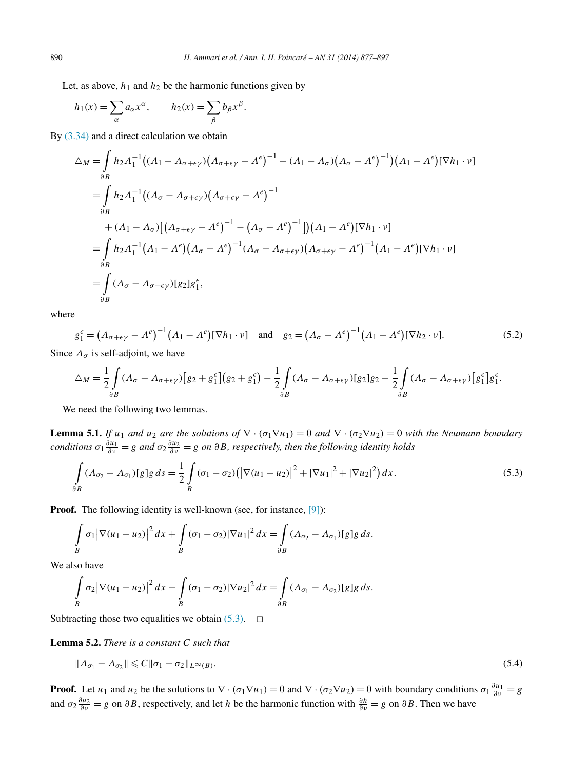<span id="page-13-0"></span>Let, as above,  $h_1$  and  $h_2$  be the harmonic functions given by

$$
h_1(x) = \sum_{\alpha} a_{\alpha} x^{\alpha}, \qquad h_2(x) = \sum_{\beta} b_{\beta} x^{\beta}.
$$

By  $(3.34)$  and a direct calculation we obtain

$$
\Delta_M = \int_{\partial B} h_2 \Lambda_1^{-1} \big( (\Lambda_1 - \Lambda_{\sigma + \epsilon \gamma}) \big( \Lambda_{\sigma + \epsilon \gamma} - \Lambda^e \big)^{-1} - (\Lambda_1 - \Lambda_{\sigma}) \big( \Lambda_{\sigma} - \Lambda^e \big)^{-1} \big) (\Lambda_1 - \Lambda^e) [\nabla h_1 \cdot \nu]
$$
  
\n
$$
= \int_{\partial B} h_2 \Lambda_1^{-1} \big( (\Lambda_{\sigma} - \Lambda_{\sigma + \epsilon \gamma}) \big( \Lambda_{\sigma + \epsilon \gamma} - \Lambda^e \big)^{-1}
$$
  
\n
$$
+ (\Lambda_1 - \Lambda_{\sigma}) \big[ \big( \Lambda_{\sigma + \epsilon \gamma} - \Lambda^e \big)^{-1} - \big( \Lambda_{\sigma} - \Lambda^e \big)^{-1} \big] \big) (\Lambda_1 - \Lambda^e) [\nabla h_1 \cdot \nu]
$$
  
\n
$$
= \int_{\partial B} h_2 \Lambda_1^{-1} (\Lambda_1 - \Lambda^e) (\Lambda_{\sigma} - \Lambda^e)^{-1} (\Lambda_{\sigma} - \Lambda_{\sigma + \epsilon \gamma}) \big( \Lambda_{\sigma + \epsilon \gamma} - \Lambda^e \big)^{-1} (\Lambda_1 - \Lambda^e) [\nabla h_1 \cdot \nu]
$$
  
\n
$$
= \int_{\partial B} (\Lambda_{\sigma} - \Lambda_{\sigma + \epsilon \gamma}) [g_2] g_1^{\epsilon},
$$

where

$$
g_1^{\epsilon} = \left(\Lambda_{\sigma+\epsilon\gamma} - \Lambda^e\right)^{-1} \left(\Lambda_1 - \Lambda^e\right) [\nabla h_1 \cdot \nu] \quad \text{and} \quad g_2 = \left(\Lambda_{\sigma} - \Lambda^e\right)^{-1} \left(\Lambda_1 - \Lambda^e\right) [\nabla h_2 \cdot \nu].
$$
 (5.2)

Since  $\Lambda_{\sigma}$  is self-adjoint, we have

$$
\Delta_M = \frac{1}{2} \int_{\partial B} (A_{\sigma} - A_{\sigma + \epsilon \gamma}) \Big[ g_2 + g_1^{\epsilon} \Big] \Big( g_2 + g_1^{\epsilon} \Big) - \frac{1}{2} \int_{\partial B} (A_{\sigma} - A_{\sigma + \epsilon \gamma}) \Big[ g_2 \Big] g_2 - \frac{1}{2} \int_{\partial B} (A_{\sigma} - A_{\sigma + \epsilon \gamma}) \Big[ g_1^{\epsilon} \Big] g_1^{\epsilon}.
$$

We need the following two lemmas.

**Lemma 5.1.** *If*  $u_1$  *and*  $u_2$  *are the solutions of*  $\nabla \cdot (\sigma_1 \nabla u_1) = 0$  *and*  $\nabla \cdot (\sigma_2 \nabla u_2) = 0$  *with the Neumann boundary conditions*  $\sigma_1 \frac{\partial u_1}{\partial v} = g$  *and*  $\sigma_2 \frac{\partial u_2}{\partial v} = g$  *on*  $\partial B$ *, respectively, then the following identity holds* 

$$
\int_{\partial B} (A_{\sigma_2} - A_{\sigma_1}) [g] g \, ds = \frac{1}{2} \int_B (\sigma_1 - \sigma_2) (|\nabla (u_1 - u_2)|^2 + |\nabla u_1|^2 + |\nabla u_2|^2) \, dx. \tag{5.3}
$$

**Proof.** The following identity is well-known (see, for instance, [\[9\]\)](#page-19-0):

$$
\int\limits_B \sigma_1 |\nabla (u_1 - u_2)|^2 dx + \int\limits_B (\sigma_1 - \sigma_2) |\nabla u_1|^2 dx = \int\limits_{\partial B} (A_{\sigma_2} - A_{\sigma_1}) [g] g ds.
$$

We also have

$$
\int\limits_B \sigma_2 |\nabla (u_1 - u_2)|^2 dx - \int\limits_B (\sigma_1 - \sigma_2) |\nabla u_2|^2 dx = \int\limits_{\partial B} (A_{\sigma_1} - A_{\sigma_2}) [g] g ds.
$$

Subtracting those two equalities we obtain  $(5.3)$ .  $\Box$ 

**Lemma 5.2.** *There is a constant C such that*

$$
\|\Lambda_{\sigma_1} - \Lambda_{\sigma_2}\| \leqslant C \|\sigma_1 - \sigma_2\|_{L^\infty(B)}.
$$
\n
$$
(5.4)
$$

**Proof.** Let *u*<sub>1</sub> and *u*<sub>2</sub> be the solutions to  $\nabla \cdot (\sigma_1 \nabla u_1) = 0$  and  $\nabla \cdot (\sigma_2 \nabla u_2) = 0$  with boundary conditions  $\sigma_1 \frac{\partial u_1}{\partial v} = g$ and  $\sigma_2 \frac{\partial u_2}{\partial v} = g$  on  $\partial B$ , respectively, and let *h* be the harmonic function with  $\frac{\partial h}{\partial v} = g$  on  $\partial B$ . Then we have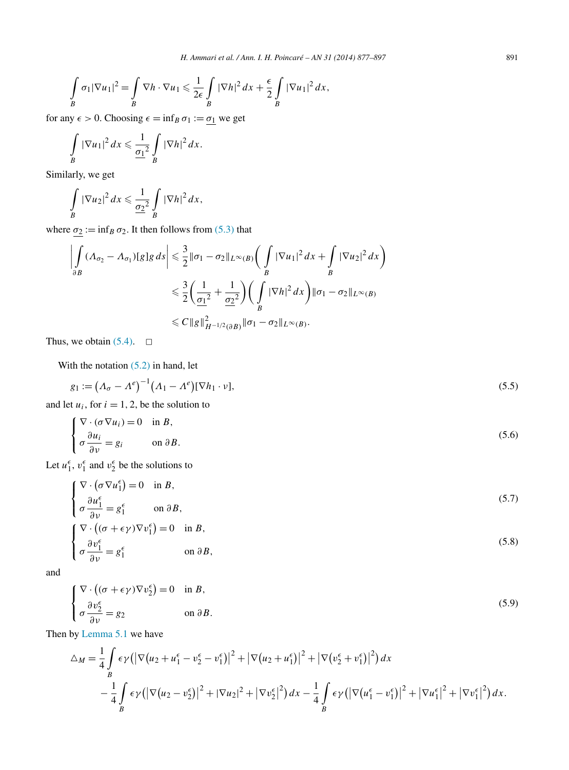<span id="page-14-0"></span>
$$
\int\limits_B \sigma_1 |\nabla u_1|^2 = \int\limits_B \nabla h \cdot \nabla u_1 \leqslant \frac{1}{2\epsilon} \int\limits_B |\nabla h|^2 \, dx + \frac{\epsilon}{2} \int\limits_B |\nabla u_1|^2 \, dx,
$$

for any  $\epsilon > 0$ . Choosing  $\epsilon = \inf_B \sigma_1 := \underline{\sigma_1}$  we get

$$
\int\limits_B |\nabla u_1|^2 dx \leqslant \frac{1}{\underline{\sigma_1}^2} \int\limits_B |\nabla h|^2 dx.
$$

Similarly, we get

$$
\int\limits_B |\nabla u_2|^2 dx \leqslant \frac{1}{\underline{\sigma_2}^2} \int\limits_B |\nabla h|^2 dx,
$$

where  $\sigma_2 := \inf_B \sigma_2$ . It then follows from [\(5.3\)](#page-13-0) that

$$
\left| \int_{\partial B} (A_{\sigma_2} - A_{\sigma_1}) [g] g \, ds \right| \leq \frac{3}{2} \|\sigma_1 - \sigma_2\|_{L^{\infty}(B)} \bigg( \int_{B} |\nabla u_1|^2 \, dx + \int_{B} |\nabla u_2|^2 \, dx \bigg)
$$
  

$$
\leq \frac{3}{2} \bigg( \frac{1}{\sigma_1^2} + \frac{1}{\sigma_2^2} \bigg) \bigg( \int_{B} |\nabla h|^2 \, dx \bigg) \|\sigma_1 - \sigma_2\|_{L^{\infty}(B)}
$$
  

$$
\leq C \|g\|_{H^{-1/2}(\partial B)}^2 \|\sigma_1 - \sigma_2\|_{L^{\infty}(B)}.
$$

Thus, we obtain  $(5.4)$ .  $\Box$ 

With the notation  $(5.2)$  in hand, let

$$
g_1 := \left(\Lambda_\sigma - \Lambda^e\right)^{-1} \left(\Lambda_1 - \Lambda^e\right) [\nabla h_1 \cdot \nu],\tag{5.5}
$$

and let  $u_i$ , for  $i = 1, 2$ , be the solution to

$$
\begin{cases}\n\nabla \cdot (\sigma \nabla u_i) = 0 & \text{in } B, \\
\sigma \frac{\partial u_i}{\partial \nu} = g_i & \text{on } \partial B.\n\end{cases}
$$
\n(5.6)

Let  $u_1^{\epsilon}$ ,  $v_1^{\epsilon}$  and  $v_2^{\epsilon}$  be the solutions to

$$
\begin{cases} \nabla \cdot (\sigma \nabla u_1^{\epsilon}) = 0 & \text{in } B, \\ \sigma \frac{\partial u_1^{\epsilon}}{\partial \nu} = g_1^{\epsilon} & \text{on } \partial B, \end{cases}
$$
 (5.7)

$$
\begin{cases} \nabla \cdot \left( (\sigma + \epsilon \gamma) \nabla v_1^{\epsilon} \right) = 0 & \text{in } B, \\ \sigma \frac{\partial v_1^{\epsilon}}{\partial v} = g_1^{\epsilon} & \text{on } \partial B, \end{cases}
$$
\n(5.8)

and

$$
\begin{cases}\n\nabla \cdot \left( (\sigma + \epsilon \gamma) \nabla v_2^{\epsilon} \right) = 0 & \text{in } B, \\
\sigma \frac{\partial v_2^{\epsilon}}{\partial v} = g_2 & \text{on } \partial B.\n\end{cases}
$$
\n(5.9)

Then by [Lemma 5.1](#page-13-0) we have

$$
\Delta_M = \frac{1}{4} \int_B \epsilon \gamma \left( \left| \nabla (u_2 + u_1^\epsilon - v_2^\epsilon - v_1^\epsilon) \right|^2 + \left| \nabla (u_2 + u_1^\epsilon) \right|^2 + \left| \nabla (v_2^\epsilon + v_1^\epsilon) \right|^2 \right) dx \n- \frac{1}{4} \int_B \epsilon \gamma \left( \left| \nabla (u_2 - v_2^\epsilon) \right|^2 + \left| \nabla u_2 \right|^2 + \left| \nabla v_2^\epsilon \right|^2 \right) dx - \frac{1}{4} \int_B \epsilon \gamma \left( \left| \nabla (u_1^\epsilon - v_1^\epsilon) \right|^2 + \left| \nabla u_1^\epsilon \right|^2 + \left| \nabla v_1^\epsilon \right|^2 \right) dx.
$$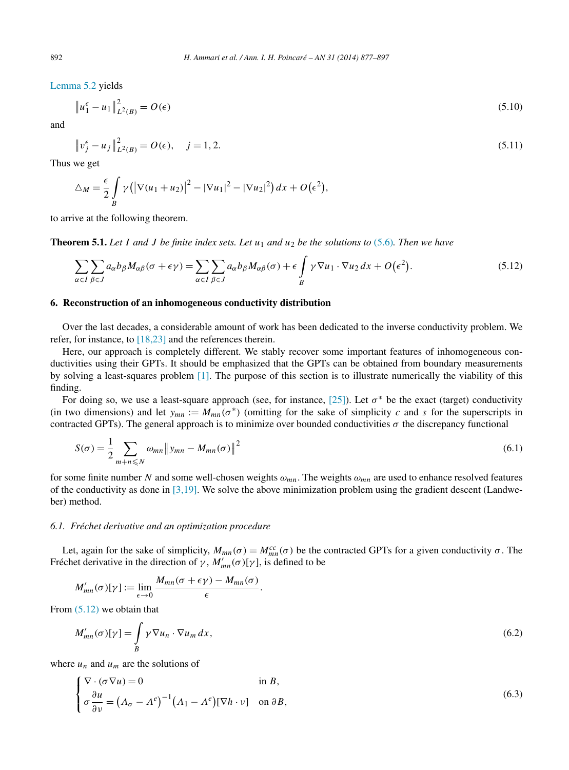[Lemma 5.2](#page-13-0) yields

$$
\|u_1^{\epsilon} - u_1\|_{L^2(B)}^2 = O(\epsilon)
$$
\n(5.10)

and

$$
\|v_j^{\epsilon} - u_j\|_{L^2(B)}^2 = O(\epsilon), \quad j = 1, 2. \tag{5.11}
$$

Thus we get

$$
\Delta_M = \frac{\epsilon}{2} \int\limits_B \gamma \left( \left| \nabla (u_1 + u_2) \right|^2 - \left| \nabla u_1 \right|^2 - \left| \nabla u_2 \right|^2 \right) dx + O(\epsilon^2),
$$

to arrive at the following theorem.

**Theorem 5.1.** Let *I* and *J* be finite index sets. Let  $u_1$  and  $u_2$  be the solutions to [\(5.6\)](#page-14-0). Then we have

$$
\sum_{\alpha \in I} \sum_{\beta \in J} a_{\alpha} b_{\beta} M_{\alpha\beta}(\sigma + \epsilon \gamma) = \sum_{\alpha \in I} \sum_{\beta \in J} a_{\alpha} b_{\beta} M_{\alpha\beta}(\sigma) + \epsilon \int_{B} \gamma \nabla u_1 \cdot \nabla u_2 dx + O(\epsilon^2). \tag{5.12}
$$

#### **6. Reconstruction of an inhomogeneous conductivity distribution**

Over the last decades, a considerable amount of work has been dedicated to the inverse conductivity problem. We refer, for instance, to [\[18,23\]](#page-19-0) and the references therein.

Here, our approach is completely different. We stably recover some important features of inhomogeneous conductivities using their GPTs. It should be emphasized that the GPTs can be obtained from boundary measurements by solving a least-squares problem [\[1\].](#page-19-0) The purpose of this section is to illustrate numerically the viability of this finding.

For doing so, we use a least-square approach (see, for instance, [\[25\]\)](#page-19-0). Let  $\sigma^*$  be the exact (target) conductivity (in two dimensions) and let  $y_{mn} := M_{mn}(\sigma^*)$  (omitting for the sake of simplicity *c* and *s* for the superscripts in contracted GPTs). The general approach is to minimize over bounded conductivities  $\sigma$  the discrepancy functional

$$
S(\sigma) = \frac{1}{2} \sum_{m+n \leq N} \omega_{mn} \| y_{mn} - M_{mn}(\sigma) \|^2
$$
\n(6.1)

for some finite number *N* and some well-chosen weights  $\omega_{mn}$ . The weights  $\omega_{mn}$  are used to enhance resolved features of the conductivity as done in  $[3,19]$ . We solve the above minimization problem using the gradient descent (Landweber) method.

## *6.1. Fréchet derivative and an optimization procedure*

Let, again for the sake of simplicity,  $M_{mn}(\sigma) = M_{mn}^{cc}(\sigma)$  be the contracted GPTs for a given conductivity  $\sigma$ . The Fréchet derivative in the direction of  $\gamma$ ,  $M'_{mn}(\sigma)[\gamma]$ , is defined to be

$$
M'_{mn}(\sigma)[\gamma] := \lim_{\epsilon \to 0} \frac{M_{mn}(\sigma + \epsilon \gamma) - M_{mn}(\sigma)}{\epsilon}.
$$

From (5.12) we obtain that

$$
M'_{mn}(\sigma)[\gamma] = \int_{B} \gamma \nabla u_n \cdot \nabla u_m dx, \qquad (6.2)
$$

where  $u_n$  and  $u_m$  are the solutions of

$$
\begin{cases}\n\nabla \cdot (\sigma \nabla u) = 0 & \text{in } B, \\
\sigma \frac{\partial u}{\partial \nu} = \left(\Lambda_{\sigma} - \Lambda^e\right)^{-1} \left(\Lambda_1 - \Lambda^e\right) [\nabla h \cdot v] & \text{on } \partial B,\n\end{cases}
$$
\n(6.3)

<span id="page-15-0"></span>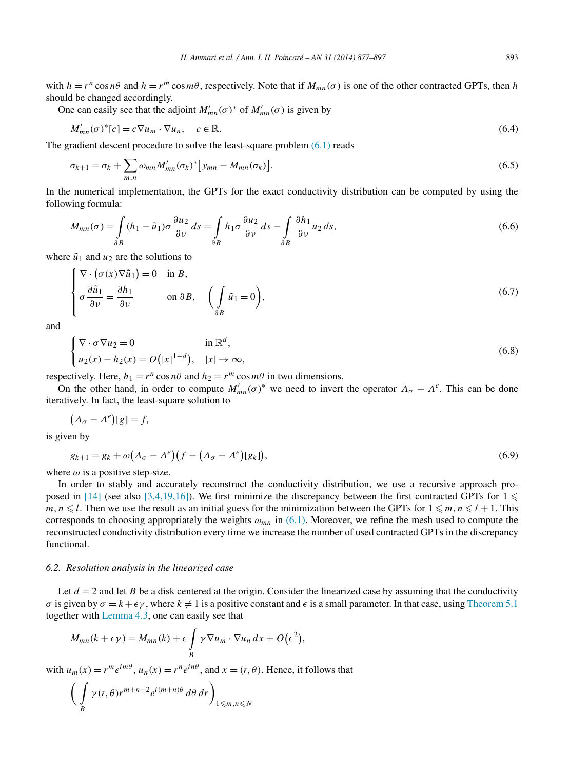with  $h = r^n \cos n\theta$  and  $h = r^m \cos m\theta$ , respectively. Note that if  $M_{mn}(\sigma)$  is one of the other contracted GPTs, then *h* should be changed accordingly.

One can easily see that the adjoint  $M'_{mn}(\sigma)^*$  of  $M'_{mn}(\sigma)$  is given by

$$
M'_{mn}(\sigma)^*[c] = c \nabla u_m \cdot \nabla u_n, \quad c \in \mathbb{R}.\tag{6.4}
$$

The gradient descent procedure to solve the least-square problem [\(6.1\)](#page-15-0) reads

$$
\sigma_{k+1} = \sigma_k + \sum_{m,n} \omega_{mn} M'_{mn} (\sigma_k)^* [y_{mn} - M_{mn} (\sigma_k)].
$$
\n(6.5)

In the numerical implementation, the GPTs for the exact conductivity distribution can be computed by using the following formula:

$$
M_{mn}(\sigma) = \int_{\partial B} (h_1 - \tilde{u}_1) \sigma \frac{\partial u_2}{\partial \nu} ds = \int_{\partial B} h_1 \sigma \frac{\partial u_2}{\partial \nu} ds - \int_{\partial B} \frac{\partial h_1}{\partial \nu} u_2 ds,
$$
(6.6)

where  $\tilde{u}_1$  and  $u_2$  are the solutions to

$$
\begin{cases}\n\nabla \cdot (\sigma(x)\nabla \tilde{u}_1) = 0 & \text{in } B, \\
\sigma \frac{\partial \tilde{u}_1}{\partial \nu} = \frac{\partial h_1}{\partial \nu} & \text{on } \partial B, \\
\sigma \frac{\partial \tilde{u}_1}{\partial \nu} = 0 & \text{on } \partial B,\n\end{cases} \left(\int_{\partial B} \tilde{u}_1 = 0\right),
$$
\n(6.7)

and

$$
\begin{cases} \nabla \cdot \sigma \nabla u_2 = 0 & \text{in } \mathbb{R}^d, \\ u_2(x) - h_2(x) = O(|x|^{1-d}), & |x| \to \infty, \end{cases}
$$
\n(6.8)

respectively. Here,  $h_1 = r^n \cos n\theta$  and  $h_2 = r^m \cos m\theta$  in two dimensions.

On the other hand, in order to compute  $M'_{mn}(\sigma)^*$  we need to invert the operator  $\Lambda_{\sigma} - \Lambda^e$ . This can be done iteratively. In fact, the least-square solution to

$$
(\Lambda_{\sigma} - \Lambda^e)[g] = f,
$$

is given by

$$
g_{k+1} = g_k + \omega \big(\Lambda_\sigma - \Lambda^e\big) \big(f - \big(\Lambda_\sigma - \Lambda^e\big)[g_k]\big),\tag{6.9}
$$

where  $\omega$  is a positive step-size.

In order to stably and accurately reconstruct the conductivity distribution, we use a recursive approach pro-posed in [\[14\]](#page-19-0) (see also [\[3,4,19,16\]\)](#page-19-0). We first minimize the discrepancy between the first contracted GPTs for  $1 \leq$  $m, n \leq l$ . Then we use the result as an initial guess for the minimization between the GPTs for  $1 \leq m, n \leq l + 1$ . This corresponds to choosing appropriately the weights  $\omega_{mn}$  in [\(6.1\).](#page-15-0) Moreover, we refine the mesh used to compute the reconstructed conductivity distribution every time we increase the number of used contracted GPTs in the discrepancy functional.

#### *6.2. Resolution analysis in the linearized case*

Let  $d = 2$  and let *B* be a disk centered at the origin. Consider the linearized case by assuming that the conductivity *σ* is given by  $\sigma = k + \epsilon \gamma$ , where  $k \neq 1$  is a positive constant and  $\epsilon$  is a small parameter. In that case, using [Theorem 5.1](#page-15-0) together with [Lemma 4.3,](#page-12-0) one can easily see that

$$
M_{mn}(k+\epsilon\gamma) = M_{mn}(k) + \epsilon \int_{B} \gamma \nabla u_m \cdot \nabla u_n dx + O(\epsilon^2),
$$

with  $u_m(x) = r^m e^{im\theta}$ ,  $u_n(x) = r^n e^{in\theta}$ , and  $x = (r, \theta)$ . Hence, it follows that

$$
\bigg(\int\limits_B \gamma(r,\theta)r^{m+n-2}e^{i(m+n)\theta}\,d\theta\,dr\bigg)_{1\leqslant m,n\leqslant N}
$$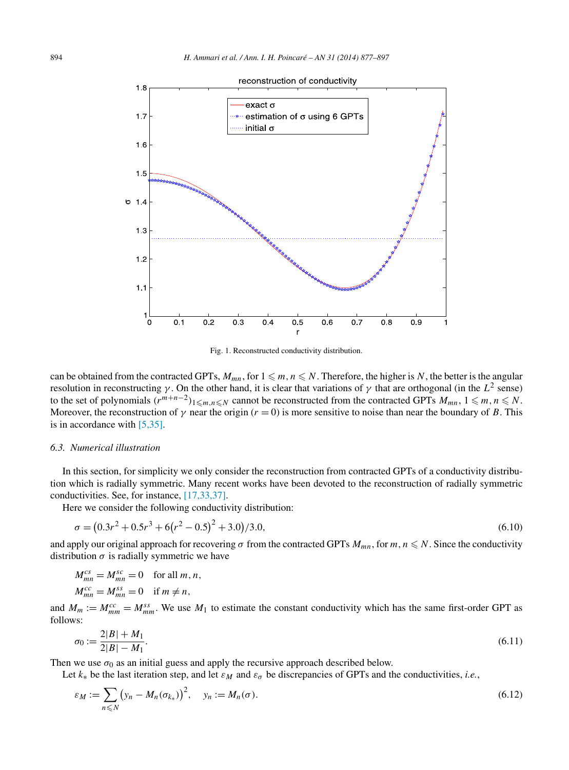<span id="page-17-0"></span>

Fig. 1. Reconstructed conductivity distribution.

can be obtained from the contracted GPTs,  $M_{mn}$ , for  $1 \leq m, n \leq N$ . Therefore, the higher is *N*, the better is the angular resolution in reconstructing *γ*. On the other hand, it is clear that variations of *γ* that are orthogonal (in the  $L^2$  sense) to the set of polynomials  $(r^{m+n-2})_{1 \leq m,n \leq N}$  cannot be reconstructed from the contracted GPTs  $M_{mn}$ ,  $1 \leq m, n \leq N$ . Moreover, the reconstruction of  $\gamma$  near the origin ( $r = 0$ ) is more sensitive to noise than near the boundary of *B*. This is in accordance with [\[5,35\].](#page-19-0)

## *6.3. Numerical illustration*

In this section, for simplicity we only consider the reconstruction from contracted GPTs of a conductivity distribution which is radially symmetric. Many recent works have been devoted to the reconstruction of radially symmetric conductivities. See, for instance, [\[17,33,37\].](#page-19-0)

Here we consider the following conductivity distribution:

$$
\sigma = (0.3r^2 + 0.5r^3 + 6(r^2 - 0.5)^2 + 3.0)/3.0,
$$
\n(6.10)

and apply our original approach for recovering  $\sigma$  from the contracted GPTs  $M_{mn}$ , for  $m, n \le N$ . Since the conductivity distribution  $\sigma$  is radially symmetric we have

$$
M_{mn}^{cs} = M_{mn}^{sc} = 0 \quad \text{for all } m, n,
$$
  

$$
M_{mn}^{cc} = M_{mn}^{ss} = 0 \quad \text{if } m \neq n,
$$

and  $M_m := M_{mm}^{cc} = M_{mm}^{ss}$ . We use  $M_1$  to estimate the constant conductivity which has the same first-order GPT as follows:

$$
\sigma_0 := \frac{2|B| + M_1}{2|B| - M_1}.\tag{6.11}
$$

Then we use  $\sigma_0$  as an initial guess and apply the recursive approach described below.

Let  $k_*$  be the last iteration step, and let  $\varepsilon_M$  and  $\varepsilon_{\sigma}$  be discrepancies of GPTs and the conductivities, *i.e.*,

$$
\varepsilon_M := \sum_{n \leq N} \left( y_n - M_n(\sigma_{k_*}) \right)^2, \quad y_n := M_n(\sigma). \tag{6.12}
$$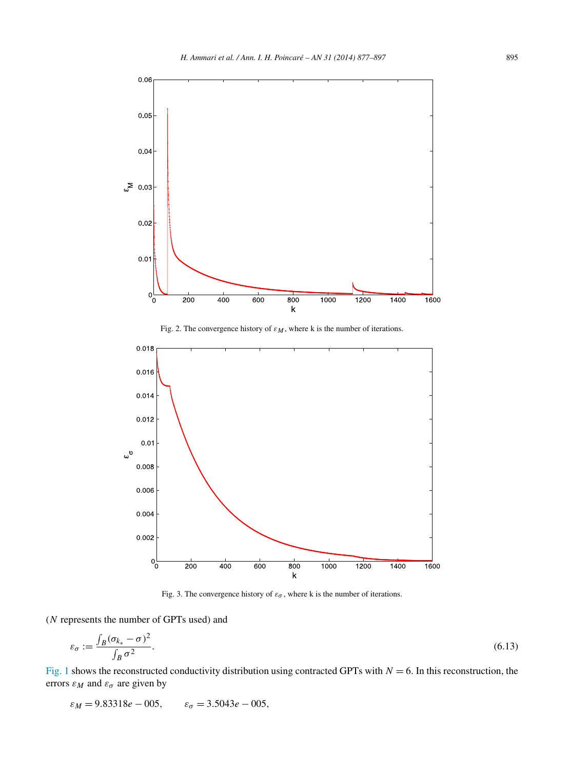<span id="page-18-0"></span>

Fig. 2. The convergence history of  $\varepsilon_M$ , where k is the number of iterations.



Fig. 3. The convergence history of  $\varepsilon_{\sigma}$ , where k is the number of iterations.

## (*N* represents the number of GPTs used) and

$$
\varepsilon_{\sigma} := \frac{\int_{B} (\sigma_{k_{*}} - \sigma)^{2}}{\int_{B} \sigma^{2}}.
$$
\n(6.13)

[Fig. 1](#page-17-0) shows the reconstructed conductivity distribution using contracted GPTs with  $N = 6$ . In this reconstruction, the errors  $\varepsilon_M$  and  $\varepsilon_\sigma$  are given by

$$
\varepsilon_M = 9.83318e - 005
$$
,  $\varepsilon_{\sigma} = 3.5043e - 005$ ,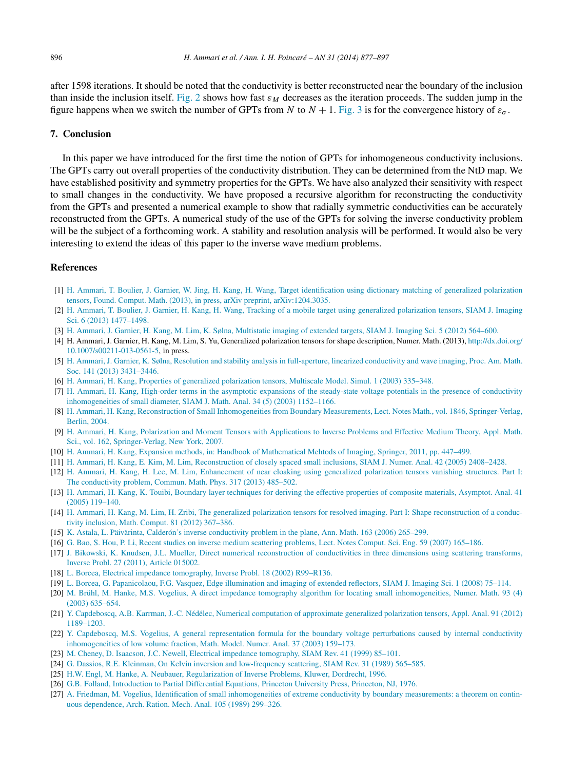<span id="page-19-0"></span>after 1598 iterations. It should be noted that the conductivity is better reconstructed near the boundary of the inclusion than inside the inclusion itself. [Fig. 2](#page-18-0) shows how fast *εM* decreases as the iteration proceeds. The sudden jump in the figure happens when we switch the number of GPTs from *N* to  $N + 1$ . [Fig. 3](#page-18-0) is for the convergence history of  $\varepsilon_{\sigma}$ .

## **7. Conclusion**

In this paper we have introduced for the first time the notion of GPTs for inhomogeneous conductivity inclusions. The GPTs carry out overall properties of the conductivity distribution. They can be determined from the NtD map. We have established positivity and symmetry properties for the GPTs. We have also analyzed their sensitivity with respect to small changes in the conductivity. We have proposed a recursive algorithm for reconstructing the conductivity from the GPTs and presented a numerical example to show that radially symmetric conductivities can be accurately reconstructed from the GPTs. A numerical study of the use of the GPTs for solving the inverse conductivity problem will be the subject of a forthcoming work. A stability and resolution analysis will be performed. It would also be very interesting to extend the ideas of this paper to the inverse wave medium problems.

#### **References**

- [1] [H. Ammari, T. Boulier, J. Garnier, W. Jing, H. Kang, H. Wang, Target identification using dictionary matching of generalized polarization](http://refhub.elsevier.com/S0294-1449(13)00091-7/bib68616Es1) [tensors, Found. Comput. Math. \(2013\), in press, arXiv preprint, arXiv:1204.3035.](http://refhub.elsevier.com/S0294-1449(13)00091-7/bib68616Es1)
- [2] H. [Ammari, T. Boulier, J. Garnier, H. Kang, H. Wang, Tracking of a mobile target using generalized polarization tensors, SIAM J. Imaging](http://refhub.elsevier.com/S0294-1449(13)00091-7/bib68616E32s1) [Sci. 6 \(2013\) 1477–1498.](http://refhub.elsevier.com/S0294-1449(13)00091-7/bib68616E32s1)
- [3] H. [Ammari, J. Garnier, H. Kang, M. Lim, K. Sølna, Multistatic imaging of extended targets, SIAM J. Imaging Sci. 5 \(2012\) 564–600.](http://refhub.elsevier.com/S0294-1449(13)00091-7/bib7369696D73s1)
- [4] H. Ammari, J. Garnier, H. Kang, M. Lim, S. Yu, Generalized polarization tensors for shape description, Numer. Math. (2013), [http://dx.doi.org/](http://dx.doi.org/10.1007/s00211-013-0561-5) [10.1007/s00211-013-0561-5](http://dx.doi.org/10.1007/s00211-013-0561-5), in press.
- [5] H. [Ammari, J. Garnier, K. Sølna, Resolution and stability analysis in full-aperture, linearized conductivity and wave imaging, Proc. Am. Math.](http://refhub.elsevier.com/S0294-1449(13)00091-7/bib70726F63616D73s1) [Soc. 141 \(2013\) 3431–3446.](http://refhub.elsevier.com/S0294-1449(13)00091-7/bib70726F63616D73s1)
- [6] H. [Ammari, H. Kang, Properties of generalized polarization tensors, Multiscale Model. Simul. 1 \(2003\) 335–348.](http://refhub.elsevier.com/S0294-1449(13)00091-7/bib414B3032s1)
- [7] H. [Ammari, H. Kang, High-order terms in the asymptotic expansions of the steady-state voltage potentials in the presence of conductivity](http://refhub.elsevier.com/S0294-1449(13)00091-7/bib414B3033s1) [inhomogeneities of small diameter, SIAM J. Math. Anal. 34 \(5\) \(2003\) 1152–1166.](http://refhub.elsevier.com/S0294-1449(13)00091-7/bib414B3033s1)
- [8] H. [Ammari, H. Kang, Reconstruction of Small Inhomogeneities from Boundary Measurements, Lect. Notes Math., vol. 1846, Springer-Verlag,](http://refhub.elsevier.com/S0294-1449(13)00091-7/bib626F6F6B31s1) [Berlin, 2004.](http://refhub.elsevier.com/S0294-1449(13)00091-7/bib626F6F6B31s1)
- [9] H. [Ammari, H. Kang, Polarization and Moment Tensors with Applications to Inverse Problems and Effective Medium Theory, Appl. Math.](http://refhub.elsevier.com/S0294-1449(13)00091-7/bib626F6F6B32s1) [Sci., vol. 162, Springer-Verlag, New York, 2007.](http://refhub.elsevier.com/S0294-1449(13)00091-7/bib626F6F6B32s1)
- [10] H. [Ammari, H. Kang, Expansion methods, in: Handbook of Mathematical Mehtods of Imaging, Springer, 2011, pp. 447–499.](http://refhub.elsevier.com/S0294-1449(13)00091-7/bib68616E64626F6F6Bs1)
- [11] H. [Ammari, H. Kang, E. Kim, M. Lim, Reconstruction of closely spaced small inclusions, SIAM J. Numer. Anal. 42 \(2005\) 2408–2428.](http://refhub.elsevier.com/S0294-1449(13)00091-7/bib414B4B4C3033s1)
- [12] H. [Ammari, H. Kang, H. Lee, M. Lim, Enhancement of near cloaking using generalized polarization tensors vanishing structures. Part I:](http://refhub.elsevier.com/S0294-1449(13)00091-7/bib414B4C4C3131s1) [The conductivity problem, Commun. Math. Phys. 317 \(2013\) 485–502.](http://refhub.elsevier.com/S0294-1449(13)00091-7/bib414B4C4C3131s1)
- [13] H. [Ammari, H. Kang, K. Touibi, Boundary layer techniques for deriving the effective properties of composite materials, Asymptot. Anal. 41](http://refhub.elsevier.com/S0294-1449(13)00091-7/bib414B543035s1) [\(2005\) 119–140.](http://refhub.elsevier.com/S0294-1449(13)00091-7/bib414B543035s1)
- [14] H. [Ammari, H. Kang, M. Lim, H. Zribi, The generalized polarization tensors for resolved imaging. Part I: Shape reconstruction of a conduc](http://refhub.elsevier.com/S0294-1449(13)00091-7/bib414B4C5A3132s1)[tivity inclusion, Math. Comput. 81 \(2012\) 367–386.](http://refhub.elsevier.com/S0294-1449(13)00091-7/bib414B4C5A3132s1)
- [15] K. [Astala, L. Päivärinta, Calderón's inverse conductivity problem in the plane, Ann. Math. 163 \(2006\) 265–299.](http://refhub.elsevier.com/S0294-1449(13)00091-7/bib41503036s1)
- [16] G. [Bao, S. Hou, P. Li, Recent studies on inverse medium scattering problems, Lect. Notes Comput. Sci. Eng. 59 \(2007\) 165–186.](http://refhub.elsevier.com/S0294-1449(13)00091-7/bib62616Fs1)
- [17] J. [Bikowski, K. Knudsen, J.L. Mueller, Direct numerical reconstruction of conductivities in three dimensions using scattering transforms,](http://refhub.elsevier.com/S0294-1449(13)00091-7/bib726164696131s1) [Inverse Probl. 27 \(2011\), Article 015002.](http://refhub.elsevier.com/S0294-1449(13)00091-7/bib726164696131s1)
- [18] L. [Borcea, Electrical impedance tomography, Inverse Probl. 18 \(2002\) R99–R136.](http://refhub.elsevier.com/S0294-1449(13)00091-7/bib626F72636561s1)
- [19] L. [Borcea, G. Papanicolaou, F.G. Vasquez, Edge illumination and imaging of extended reflectors, SIAM J. Imaging Sci. 1 \(2008\) 75–114.](http://refhub.elsevier.com/S0294-1449(13)00091-7/bib626F7263656132s1)
- [20] M. [Brühl, M. Hanke, M.S. Vogelius, A direct impedance tomography algorithm for locating small inhomogeneities, Numer. Math. 93 \(4\)](http://refhub.elsevier.com/S0294-1449(13)00091-7/bib4248563033s1) [\(2003\) 635–654.](http://refhub.elsevier.com/S0294-1449(13)00091-7/bib4248563033s1)
- [21] [Y. Capdeboscq, A.B. Karrman, J.-C. Nédélec, Numerical computation of approximate generalized polarization tensors, Appl. Anal. 91 \(2012\)](http://refhub.elsevier.com/S0294-1449(13)00091-7/bib79766573s1) [1189–1203.](http://refhub.elsevier.com/S0294-1449(13)00091-7/bib79766573s1)
- [22] [Y. Capdeboscq, M.S. Vogelius, A general representation formula for the boundary voltage perturbations caused by internal conductivity](http://refhub.elsevier.com/S0294-1449(13)00091-7/bib79766573766F67s1) [inhomogeneities of low volume fraction, Math. Model. Numer. Anal. 37 \(2003\) 159–173.](http://refhub.elsevier.com/S0294-1449(13)00091-7/bib79766573766F67s1)
- [23] M. [Cheney, D. Isaacson, J.C. Newell, Electrical impedance tomography, SIAM Rev. 41 \(1999\) 85–101.](http://refhub.elsevier.com/S0294-1449(13)00091-7/bib6368656E6579s1)
- [24] G. [Dassios, R.E. Kleinman, On Kelvin inversion and low-frequency scattering, SIAM Rev. 31 \(1989\) 565–585.](http://refhub.elsevier.com/S0294-1449(13)00091-7/bib444B3839s1)
- [25] [H.W. Engl, M. Hanke, A. Neubauer, Regularization of Inverse Problems, Kluwer, Dordrecht, 1996.](http://refhub.elsevier.com/S0294-1449(13)00091-7/bib68616E6B65s1)
- [26] G.B. [Folland, Introduction to Partial Differential Equations, Princeton University Press, Princeton, NJ, 1976.](http://refhub.elsevier.com/S0294-1449(13)00091-7/bib466F6C6C616E643736s1)
- [27] A. [Friedman, M. Vogelius, Identification of small inhomogeneities of extreme conductivity by boundary measurements: a theorem on contin](http://refhub.elsevier.com/S0294-1449(13)00091-7/bib46563839s1)[uous dependence, Arch. Ration. Mech. Anal. 105 \(1989\) 299–326.](http://refhub.elsevier.com/S0294-1449(13)00091-7/bib46563839s1)